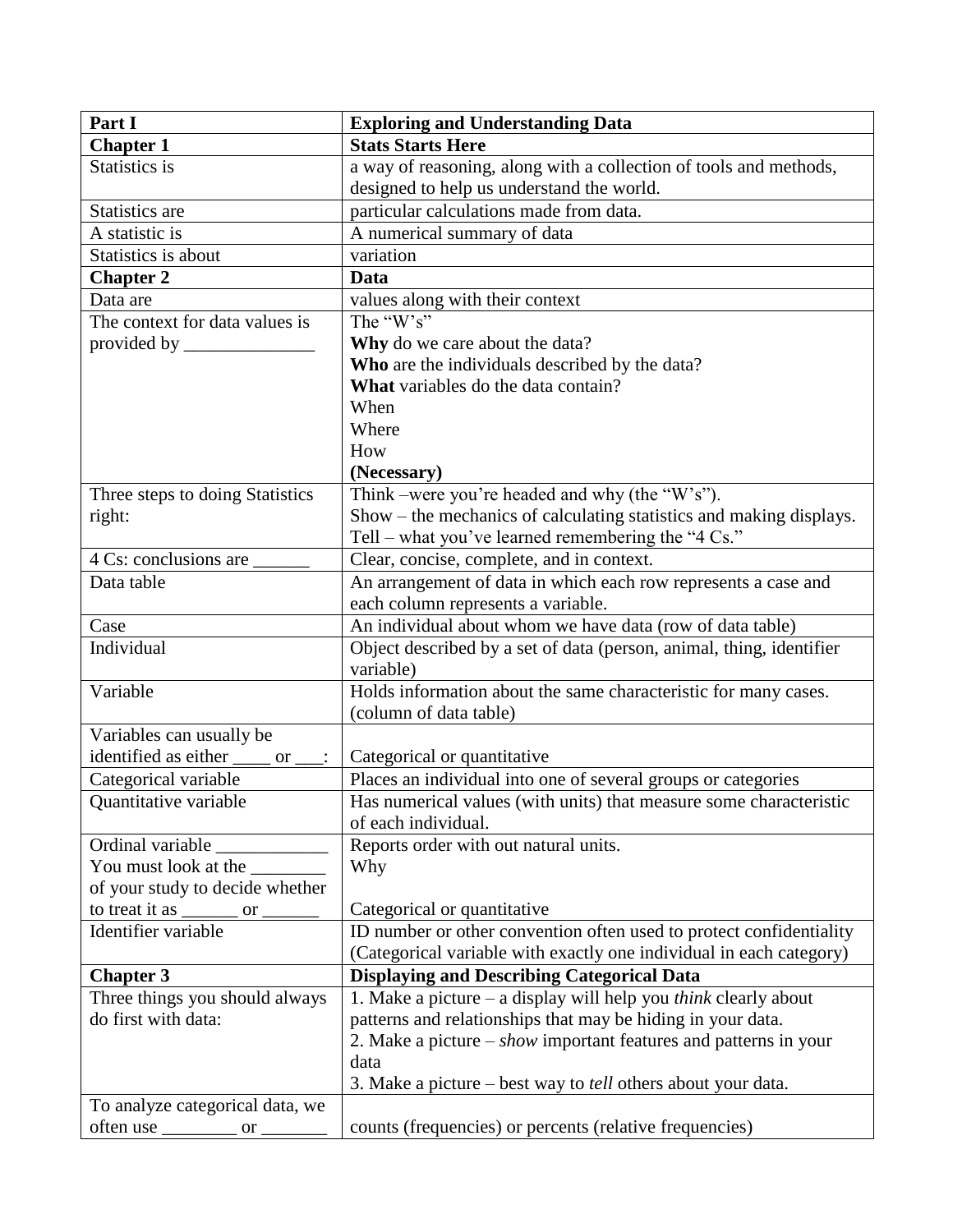| Part I                                                                                               | <b>Exploring and Understanding Data</b>                                  |
|------------------------------------------------------------------------------------------------------|--------------------------------------------------------------------------|
| <b>Chapter 1</b>                                                                                     | <b>Stats Starts Here</b>                                                 |
| Statistics is                                                                                        | a way of reasoning, along with a collection of tools and methods,        |
|                                                                                                      | designed to help us understand the world.                                |
| Statistics are                                                                                       | particular calculations made from data.                                  |
| A statistic is                                                                                       | A numerical summary of data                                              |
| Statistics is about                                                                                  | variation                                                                |
| <b>Chapter 2</b>                                                                                     | Data                                                                     |
| Data are                                                                                             | values along with their context                                          |
| The context for data values is                                                                       | The " $W$ 's"                                                            |
| provided by $\frac{1}{\sqrt{1-\frac{1}{2}}\sqrt{1-\frac{1}{2}}\left(\frac{1}{2}-\frac{1}{2}\right)}$ | Why do we care about the data?                                           |
|                                                                                                      | Who are the individuals described by the data?                           |
|                                                                                                      | What variables do the data contain?                                      |
|                                                                                                      | When                                                                     |
|                                                                                                      | Where                                                                    |
|                                                                                                      | How                                                                      |
|                                                                                                      | (Necessary)                                                              |
| Three steps to doing Statistics                                                                      | Think –were you're headed and why (the "W's").                           |
| right:                                                                                               | Show – the mechanics of calculating statistics and making displays.      |
|                                                                                                      | Tell – what you've learned remembering the "4 $Cs$ ."                    |
| 4 Cs: conclusions are                                                                                | Clear, concise, complete, and in context.                                |
| Data table                                                                                           | An arrangement of data in which each row represents a case and           |
|                                                                                                      | each column represents a variable.                                       |
| Case                                                                                                 | An individual about whom we have data (row of data table)                |
| Individual                                                                                           | Object described by a set of data (person, animal, thing, identifier     |
|                                                                                                      | variable)                                                                |
| Variable                                                                                             | Holds information about the same characteristic for many cases.          |
|                                                                                                      | (column of data table)                                                   |
| Variables can usually be                                                                             |                                                                          |
| identified as either<br>or                                                                           | Categorical or quantitative                                              |
| Categorical variable                                                                                 | Places an individual into one of several groups or categories            |
| <b>Ouantitative variable</b>                                                                         | Has numerical values (with units) that measure some characteristic       |
|                                                                                                      | of each individual.                                                      |
| Ordinal variable                                                                                     | Reports order with out natural units.                                    |
| You must look at the                                                                                 | Why                                                                      |
| of your study to decide whether                                                                      |                                                                          |
| to treat it <u>as _____</u> or _______                                                               | Categorical or quantitative                                              |
| Identifier variable                                                                                  | ID number or other convention often used to protect confidentiality      |
|                                                                                                      | (Categorical variable with exactly one individual in each category)      |
| <b>Chapter 3</b>                                                                                     | <b>Displaying and Describing Categorical Data</b>                        |
| Three things you should always                                                                       | 1. Make a picture $-$ a display will help you <i>think</i> clearly about |
| do first with data:                                                                                  | patterns and relationships that may be hiding in your data.              |
|                                                                                                      | 2. Make a picture – <i>show</i> important features and patterns in your  |
|                                                                                                      | data                                                                     |
|                                                                                                      | 3. Make a picture – best way to <i>tell</i> others about your data.      |
| To analyze categorical data, we                                                                      |                                                                          |
| often use $\frac{\ }{}$ or $\frac{\ }{}$                                                             | counts (frequencies) or percents (relative frequencies)                  |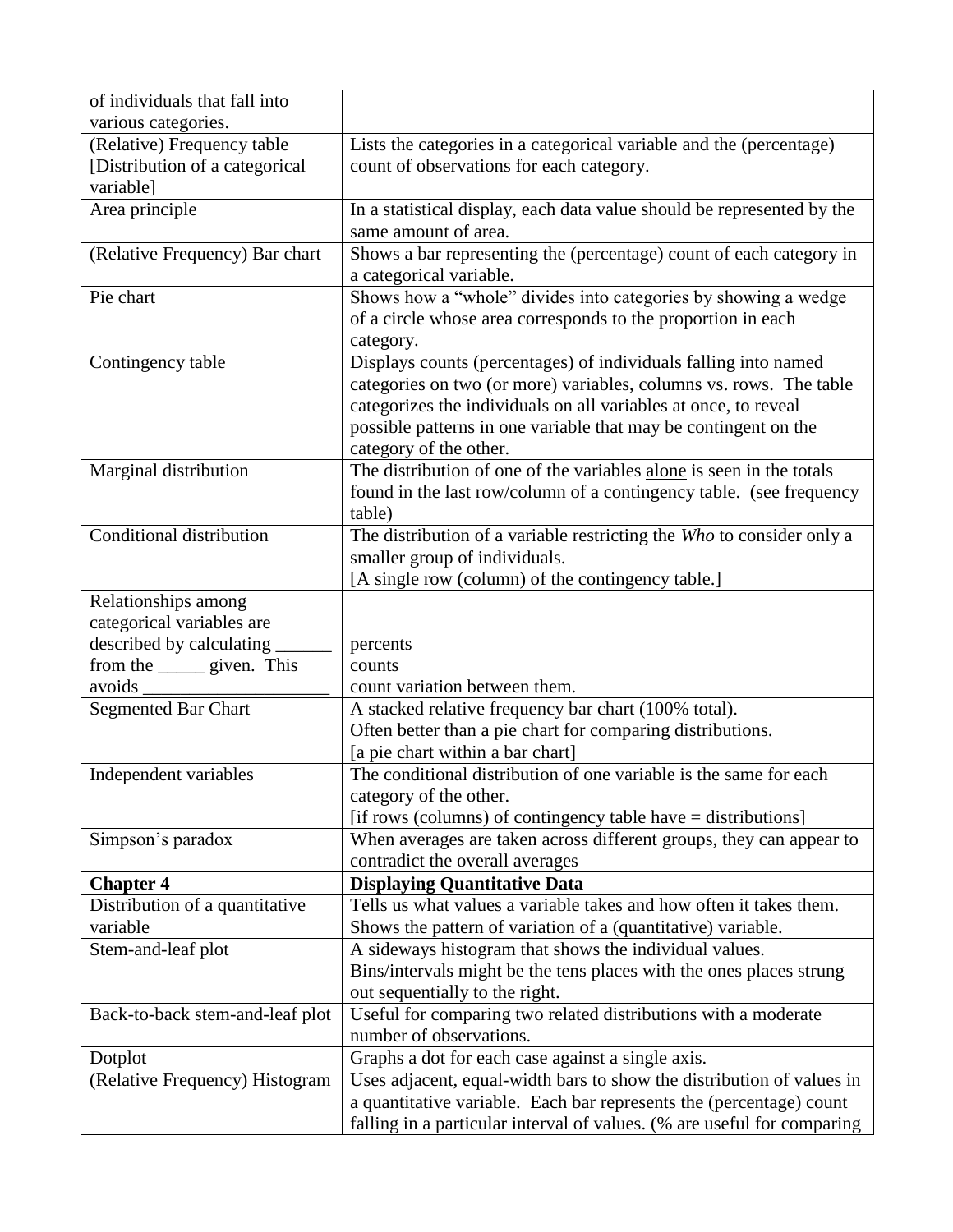| of individuals that fall into              |                                                                                                           |
|--------------------------------------------|-----------------------------------------------------------------------------------------------------------|
| various categories.                        |                                                                                                           |
| (Relative) Frequency table                 | Lists the categories in a categorical variable and the (percentage)                                       |
| [Distribution of a categorical             | count of observations for each category.                                                                  |
| variable]                                  |                                                                                                           |
| Area principle                             | In a statistical display, each data value should be represented by the                                    |
|                                            | same amount of area.                                                                                      |
| (Relative Frequency) Bar chart             | Shows a bar representing the (percentage) count of each category in                                       |
|                                            | a categorical variable.                                                                                   |
| Pie chart                                  | Shows how a "whole" divides into categories by showing a wedge                                            |
|                                            | of a circle whose area corresponds to the proportion in each                                              |
|                                            | category.                                                                                                 |
| Contingency table                          | Displays counts (percentages) of individuals falling into named                                           |
|                                            | categories on two (or more) variables, columns vs. rows. The table                                        |
|                                            | categorizes the individuals on all variables at once, to reveal                                           |
|                                            | possible patterns in one variable that may be contingent on the                                           |
|                                            | category of the other.                                                                                    |
| Marginal distribution                      | The distribution of one of the variables alone is seen in the totals                                      |
|                                            | found in the last row/column of a contingency table. (see frequency                                       |
|                                            | table)                                                                                                    |
| Conditional distribution                   | The distribution of a variable restricting the Who to consider only a                                     |
|                                            | smaller group of individuals.                                                                             |
|                                            | [A single row (column) of the contingency table.]                                                         |
| Relationships among                        |                                                                                                           |
| categorical variables are                  |                                                                                                           |
| described by calculating                   | percents                                                                                                  |
|                                            | counts                                                                                                    |
| from the <u>same</u> given. This<br>avoids | count variation between them.                                                                             |
| <b>Segmented Bar Chart</b>                 | A stacked relative frequency bar chart (100% total).                                                      |
|                                            | Often better than a pie chart for comparing distributions.                                                |
|                                            |                                                                                                           |
| Independent variables                      | [a pie chart within a bar chart]<br>The conditional distribution of one variable is the same for each     |
|                                            |                                                                                                           |
|                                            | category of the other.                                                                                    |
|                                            | [if rows (columns) of contingency table have = distributions]                                             |
| Simpson's paradox                          | When averages are taken across different groups, they can appear to                                       |
|                                            | contradict the overall averages                                                                           |
| <b>Chapter 4</b>                           | <b>Displaying Quantitative Data</b><br>Tells us what values a variable takes and how often it takes them. |
| Distribution of a quantitative<br>variable |                                                                                                           |
|                                            | Shows the pattern of variation of a (quantitative) variable.                                              |
| Stem-and-leaf plot                         | A sideways histogram that shows the individual values.                                                    |
|                                            | Bins/intervals might be the tens places with the ones places strung                                       |
|                                            | out sequentially to the right.                                                                            |
| Back-to-back stem-and-leaf plot            | Useful for comparing two related distributions with a moderate                                            |
|                                            | number of observations.                                                                                   |
| Dotplot                                    | Graphs a dot for each case against a single axis.                                                         |
| (Relative Frequency) Histogram             | Uses adjacent, equal-width bars to show the distribution of values in                                     |
|                                            | a quantitative variable. Each bar represents the (percentage) count                                       |
|                                            | falling in a particular interval of values. (% are useful for comparing                                   |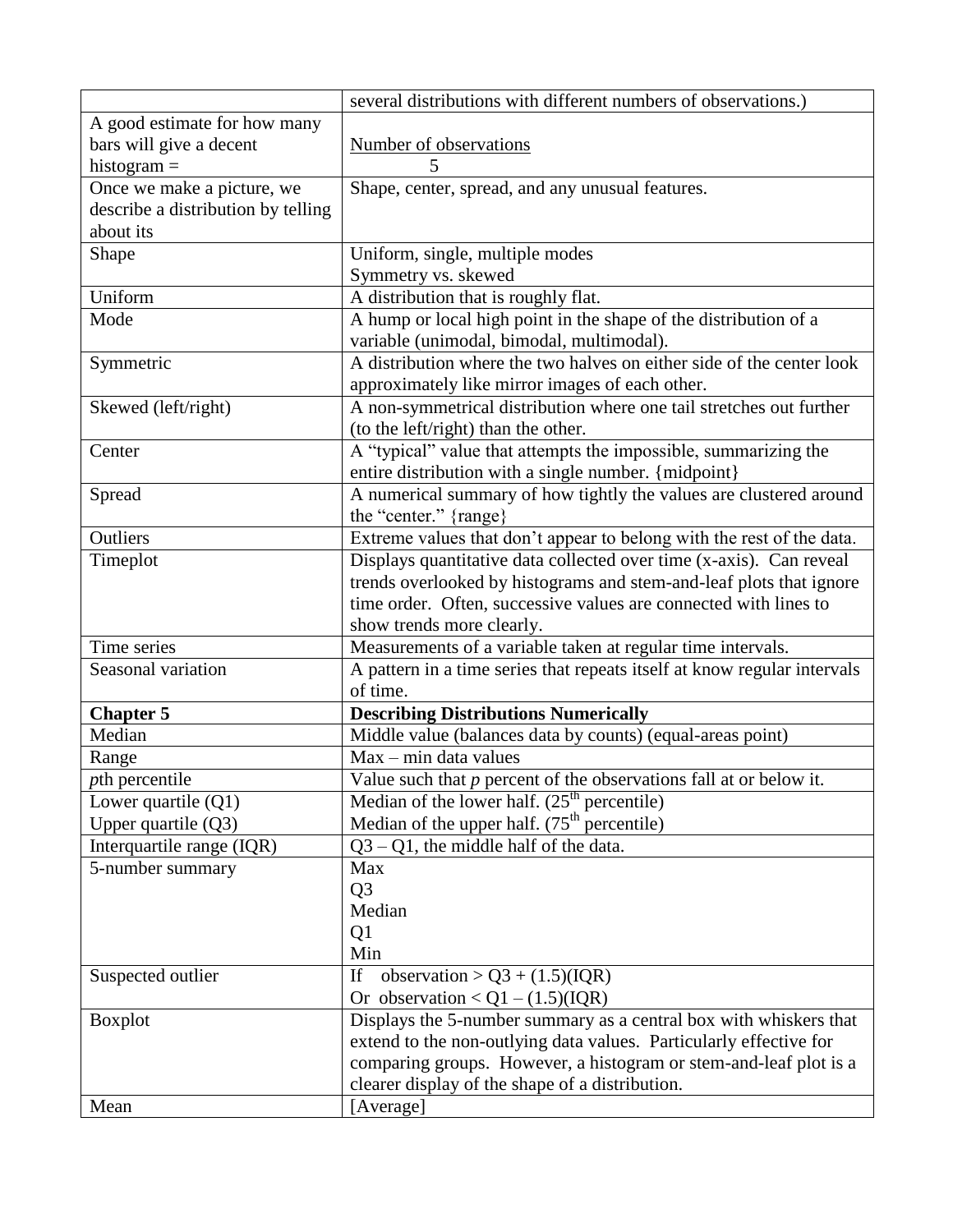|                                    | several distributions with different numbers of observations.)           |
|------------------------------------|--------------------------------------------------------------------------|
| A good estimate for how many       |                                                                          |
| bars will give a decent            | Number of observations                                                   |
| histogram $=$                      | 5                                                                        |
| Once we make a picture, we         | Shape, center, spread, and any unusual features.                         |
| describe a distribution by telling |                                                                          |
| about its                          |                                                                          |
| Shape                              | Uniform, single, multiple modes                                          |
|                                    | Symmetry vs. skewed                                                      |
| Uniform                            | A distribution that is roughly flat.                                     |
| Mode                               | A hump or local high point in the shape of the distribution of a         |
|                                    | variable (unimodal, bimodal, multimodal).                                |
| Symmetric                          | A distribution where the two halves on either side of the center look    |
|                                    | approximately like mirror images of each other.                          |
| Skewed (left/right)                | A non-symmetrical distribution where one tail stretches out further      |
|                                    | (to the left/right) than the other.                                      |
| Center                             | A "typical" value that attempts the impossible, summarizing the          |
|                                    | entire distribution with a single number. {midpoint}                     |
| Spread                             | A numerical summary of how tightly the values are clustered around       |
|                                    | the "center." {range}                                                    |
| Outliers                           | Extreme values that don't appear to belong with the rest of the data.    |
| Timeplot                           | Displays quantitative data collected over time (x-axis). Can reveal      |
|                                    | trends overlooked by histograms and stem-and-leaf plots that ignore      |
|                                    | time order. Often, successive values are connected with lines to         |
|                                    | show trends more clearly.                                                |
| Time series                        | Measurements of a variable taken at regular time intervals.              |
| Seasonal variation                 | A pattern in a time series that repeats itself at know regular intervals |
|                                    | of time.                                                                 |
| <b>Chapter 5</b>                   | <b>Describing Distributions Numerically</b>                              |
| Median                             | Middle value (balances data by counts) (equal-areas point)               |
| Range                              | $Max - min$ data values                                                  |
| pth percentile                     | Value such that $p$ percent of the observations fall at or below it.     |
| Lower quartile $(Q1)$              | Median of the lower half. $(25th$ percentile)                            |
| Upper quartile (Q3)                | Median of the upper half. (75 <sup>th</sup> percentile)                  |
| Interquartile range (IQR)          | $Q3 - Q1$ , the middle half of the data.                                 |
| 5-number summary                   | Max                                                                      |
|                                    | Q <sub>3</sub>                                                           |
|                                    | Median                                                                   |
|                                    | Q <sub>1</sub>                                                           |
|                                    | Min                                                                      |
| Suspected outlier                  | observation > $Q3 + (1.5)(IQR)$<br>If                                    |
|                                    | Or observation $\langle Q1 - (1.5)(IQR)$                                 |
| <b>Boxplot</b>                     | Displays the 5-number summary as a central box with whiskers that        |
|                                    | extend to the non-outlying data values. Particularly effective for       |
|                                    | comparing groups. However, a histogram or stem-and-leaf plot is a        |
|                                    | clearer display of the shape of a distribution.                          |
| Mean                               | [Average]                                                                |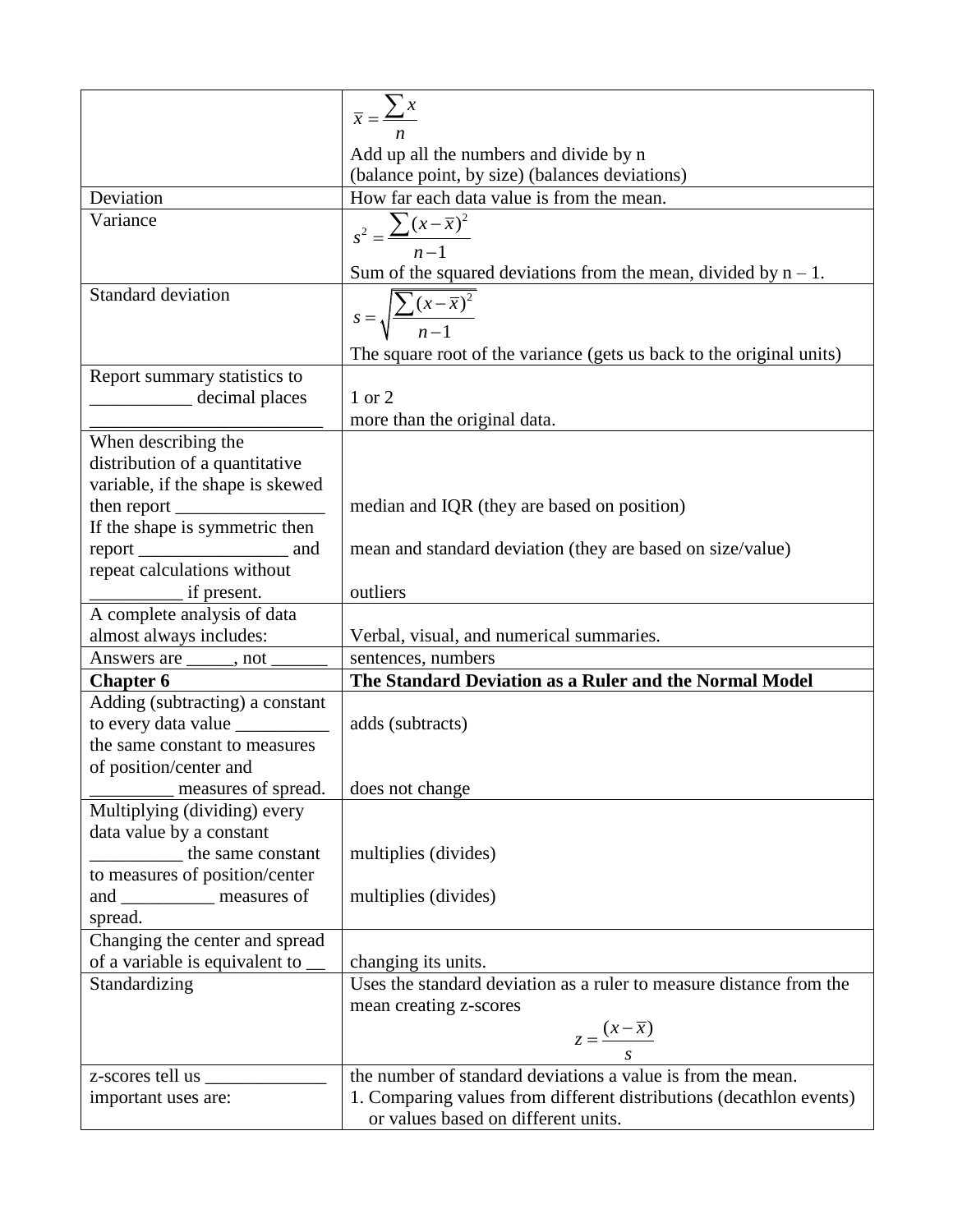|                                                                        | $\overline{x} = \frac{\sum x}{\sum x}$                                                            |
|------------------------------------------------------------------------|---------------------------------------------------------------------------------------------------|
|                                                                        |                                                                                                   |
|                                                                        | Add up all the numbers and divide by n                                                            |
|                                                                        | (balance point, by size) (balances deviations)                                                    |
| Deviation                                                              | How far each data value is from the mean.                                                         |
| Variance                                                               | $s^{2} = \frac{\sum (x - \overline{x})^{2}}{n-1}$                                                 |
|                                                                        |                                                                                                   |
|                                                                        | Sum of the squared deviations from the mean, divided by $n - 1$ .                                 |
| <b>Standard deviation</b>                                              | $s = \sqrt{\frac{\sum (x - \overline{x})^2}{n - 1}}$                                              |
|                                                                        |                                                                                                   |
|                                                                        | The square root of the variance (gets us back to the original units)                              |
| Report summary statistics to                                           |                                                                                                   |
| decimal places                                                         | 1 or 2                                                                                            |
|                                                                        | more than the original data.                                                                      |
| When describing the                                                    |                                                                                                   |
| distribution of a quantitative                                         |                                                                                                   |
| variable, if the shape is skewed                                       |                                                                                                   |
|                                                                        | median and IQR (they are based on position)                                                       |
| If the shape is symmetric then                                         |                                                                                                   |
| repeat calculations without                                            | mean and standard deviation (they are based on size/value)                                        |
| if present.                                                            | outliers                                                                                          |
| A complete analysis of data                                            |                                                                                                   |
| almost always includes:                                                | Verbal, visual, and numerical summaries.                                                          |
| Answers are ______, not _____                                          | sentences, numbers                                                                                |
| <b>Chapter 6</b>                                                       | The Standard Deviation as a Ruler and the Normal Model                                            |
| Adding (subtracting) a constant                                        |                                                                                                   |
|                                                                        | adds (subtracts)                                                                                  |
| the same constant to measures                                          |                                                                                                   |
| of position/center and                                                 |                                                                                                   |
| measures of spread.                                                    | does not change                                                                                   |
| Multiplying (dividing) every                                           |                                                                                                   |
| data value by a constant                                               |                                                                                                   |
| the same constant                                                      | multiplies (divides)                                                                              |
| to measures of position/center                                         |                                                                                                   |
| and ______________ measures of                                         | multiplies (divides)                                                                              |
| spread.                                                                |                                                                                                   |
| Changing the center and spread<br>of a variable is equivalent to _____ | changing its units.                                                                               |
| Standardizing                                                          | Uses the standard deviation as a ruler to measure distance from the                               |
|                                                                        | mean creating z-scores                                                                            |
|                                                                        |                                                                                                   |
|                                                                        | $z = \frac{(x - \overline{x})}{s}$<br>the number of standard deviations a value is from the mean. |
| z-scores tell us _______                                               |                                                                                                   |
| important uses are:                                                    | 1. Comparing values from different distributions (decathlon events)                               |
|                                                                        | or values based on different units.                                                               |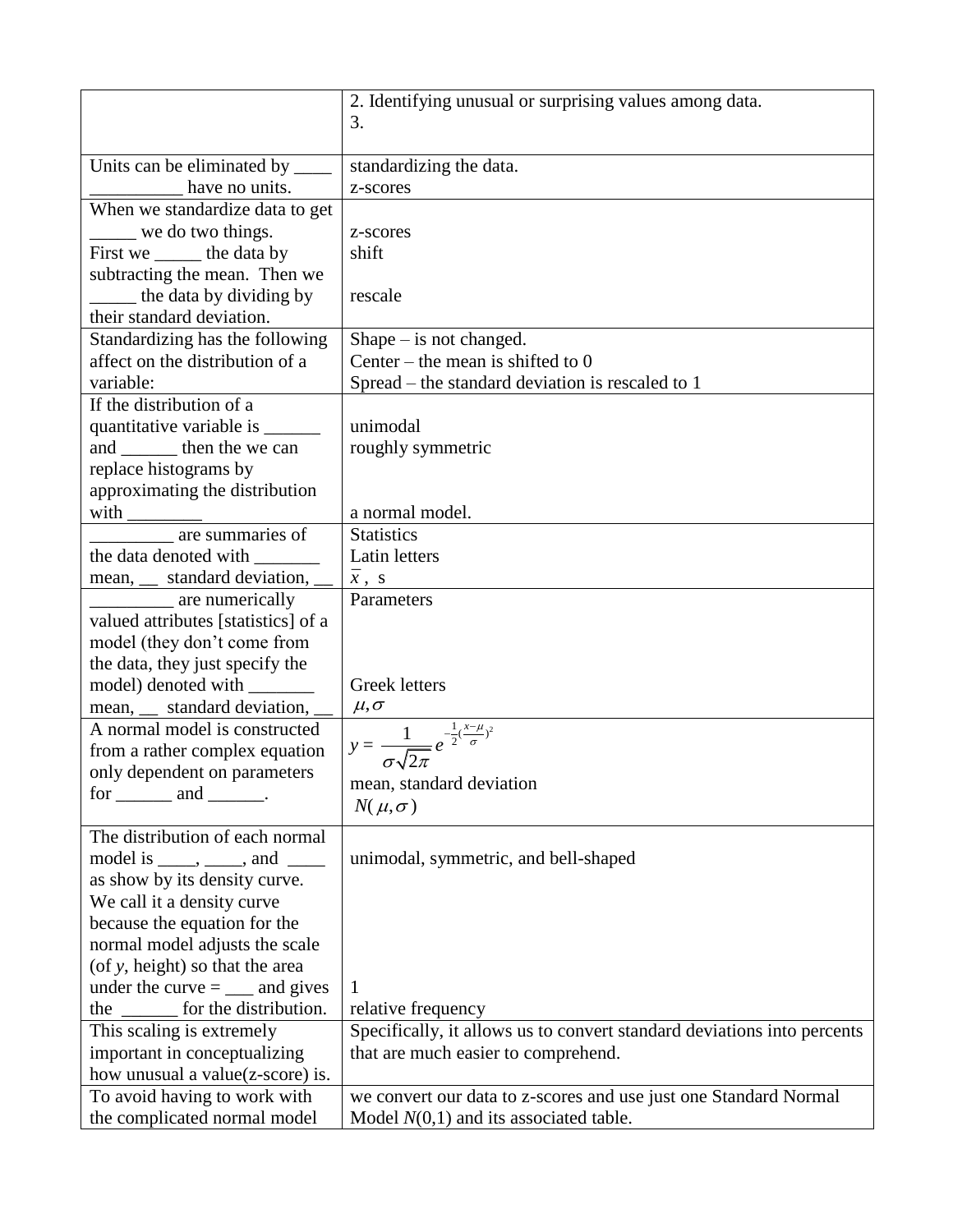| 2. Identifying unusual or surprising values among data.                                                                                                                                                                                                                                                                                                                                                                                             |  |
|-----------------------------------------------------------------------------------------------------------------------------------------------------------------------------------------------------------------------------------------------------------------------------------------------------------------------------------------------------------------------------------------------------------------------------------------------------|--|
| 3.                                                                                                                                                                                                                                                                                                                                                                                                                                                  |  |
|                                                                                                                                                                                                                                                                                                                                                                                                                                                     |  |
| Units can be eliminated by ______<br>standardizing the data.                                                                                                                                                                                                                                                                                                                                                                                        |  |
| have no units.<br>z-scores                                                                                                                                                                                                                                                                                                                                                                                                                          |  |
| When we standardize data to get                                                                                                                                                                                                                                                                                                                                                                                                                     |  |
| $\frac{1}{2}$ we do two things.<br>z-scores                                                                                                                                                                                                                                                                                                                                                                                                         |  |
| First we _______ the data by<br>shift                                                                                                                                                                                                                                                                                                                                                                                                               |  |
| subtracting the mean. Then we                                                                                                                                                                                                                                                                                                                                                                                                                       |  |
| the data by dividing by<br>rescale                                                                                                                                                                                                                                                                                                                                                                                                                  |  |
| their standard deviation.                                                                                                                                                                                                                                                                                                                                                                                                                           |  |
| Standardizing has the following<br>$Shape - is not changed.$                                                                                                                                                                                                                                                                                                                                                                                        |  |
| Center – the mean is shifted to $0$<br>affect on the distribution of a                                                                                                                                                                                                                                                                                                                                                                              |  |
| variable:                                                                                                                                                                                                                                                                                                                                                                                                                                           |  |
| Spread – the standard deviation is rescaled to 1<br>If the distribution of a                                                                                                                                                                                                                                                                                                                                                                        |  |
|                                                                                                                                                                                                                                                                                                                                                                                                                                                     |  |
| unimodal<br>quantitative variable is ________                                                                                                                                                                                                                                                                                                                                                                                                       |  |
| and ________ then the we can<br>roughly symmetric                                                                                                                                                                                                                                                                                                                                                                                                   |  |
| replace histograms by                                                                                                                                                                                                                                                                                                                                                                                                                               |  |
| approximating the distribution                                                                                                                                                                                                                                                                                                                                                                                                                      |  |
| a normal model.                                                                                                                                                                                                                                                                                                                                                                                                                                     |  |
| <b>Statistics</b>                                                                                                                                                                                                                                                                                                                                                                                                                                   |  |
| the data denoted with ________<br>Latin letters                                                                                                                                                                                                                                                                                                                                                                                                     |  |
| mean, __ standard deviation, __<br>$\bar{x}$ , s                                                                                                                                                                                                                                                                                                                                                                                                    |  |
| are numerically<br>Parameters                                                                                                                                                                                                                                                                                                                                                                                                                       |  |
| valued attributes [statistics] of a                                                                                                                                                                                                                                                                                                                                                                                                                 |  |
| model (they don't come from                                                                                                                                                                                                                                                                                                                                                                                                                         |  |
| the data, they just specify the                                                                                                                                                                                                                                                                                                                                                                                                                     |  |
| model) denoted with ________<br><b>Greek letters</b>                                                                                                                                                                                                                                                                                                                                                                                                |  |
| mean, __ standard deviation, _<br>$\mu, \sigma$                                                                                                                                                                                                                                                                                                                                                                                                     |  |
| A normal model is constructed<br>$y = \frac{1}{\sigma \sqrt{2\pi}} e^{-\frac{1}{2}(\frac{x-\mu}{\sigma})^2}$                                                                                                                                                                                                                                                                                                                                        |  |
| from a rather complex equation                                                                                                                                                                                                                                                                                                                                                                                                                      |  |
| only dependent on parameters                                                                                                                                                                                                                                                                                                                                                                                                                        |  |
| mean, standard deviation<br>$for \_\_\_$ and $\_\_\_\_$ .                                                                                                                                                                                                                                                                                                                                                                                           |  |
| $N(\mu,\sigma)$                                                                                                                                                                                                                                                                                                                                                                                                                                     |  |
| The distribution of each normal                                                                                                                                                                                                                                                                                                                                                                                                                     |  |
| model is $\_\_\_\,,\_\_\_\$ and $\_\_\_\_\$<br>unimodal, symmetric, and bell-shaped                                                                                                                                                                                                                                                                                                                                                                 |  |
| as show by its density curve.                                                                                                                                                                                                                                                                                                                                                                                                                       |  |
| We call it a density curve                                                                                                                                                                                                                                                                                                                                                                                                                          |  |
| because the equation for the                                                                                                                                                                                                                                                                                                                                                                                                                        |  |
| normal model adjusts the scale                                                                                                                                                                                                                                                                                                                                                                                                                      |  |
| (of y, height) so that the area                                                                                                                                                                                                                                                                                                                                                                                                                     |  |
| under the curve $=$ $\_\_\_\$ and gives                                                                                                                                                                                                                                                                                                                                                                                                             |  |
| the $\frac{1}{\sqrt{1-\frac{1}{\sqrt{1-\frac{1}{\sqrt{1-\frac{1}{\sqrt{1-\frac{1}{\sqrt{1-\frac{1}{\sqrt{1-\frac{1}{\sqrt{1-\frac{1}{\sqrt{1-\frac{1}{\sqrt{1-\frac{1}{\sqrt{1-\frac{1}{\sqrt{1-\frac{1}{\sqrt{1-\frac{1}{\sqrt{1-\frac{1}{\sqrt{1-\frac{1}{\sqrt{1-\frac{1}{\sqrt{1-\frac{1}{\sqrt{1-\frac{1}{\sqrt{1-\frac{1}{\sqrt{1-\frac{1}{\sqrt{1-\frac{1}{\sqrt{1-\frac{1}{\sqrt{1-\frac{1}{\sqrt{1-\frac{1}{\sqrt{1$<br>relative frequency |  |
| Specifically, it allows us to convert standard deviations into percents<br>This scaling is extremely                                                                                                                                                                                                                                                                                                                                                |  |
| important in conceptualizing<br>that are much easier to comprehend.                                                                                                                                                                                                                                                                                                                                                                                 |  |
| how unusual a value(z-score) is.                                                                                                                                                                                                                                                                                                                                                                                                                    |  |
|                                                                                                                                                                                                                                                                                                                                                                                                                                                     |  |
| To avoid having to work with<br>we convert our data to z-scores and use just one Standard Normal                                                                                                                                                                                                                                                                                                                                                    |  |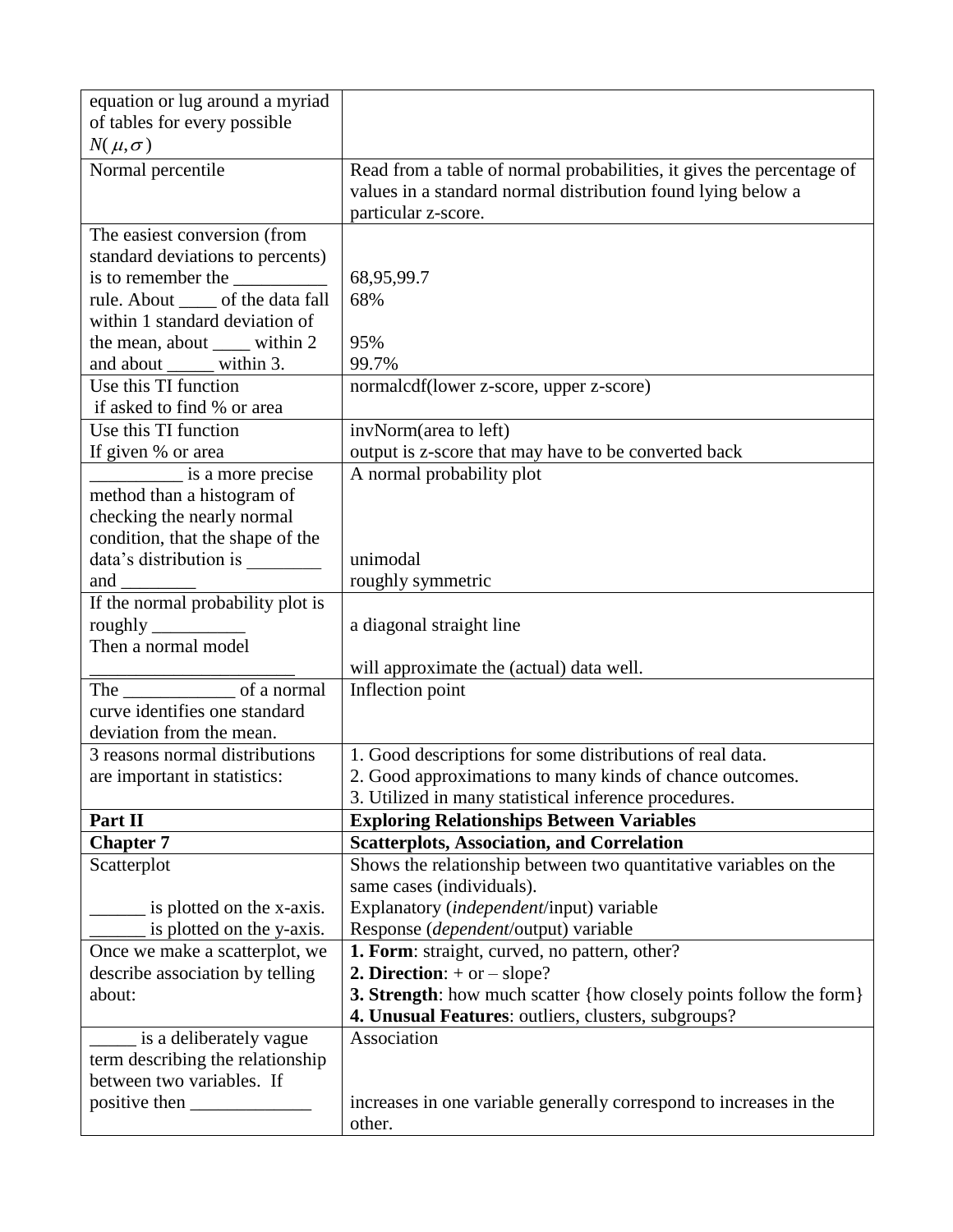| of tables for every possible<br>$N(\mu,\sigma)$<br>Normal percentile<br>Read from a table of normal probabilities, it gives the percentage of<br>values in a standard normal distribution found lying below a<br>particular z-score.<br>The easiest conversion (from                                                                                                                                                                                           |  |
|----------------------------------------------------------------------------------------------------------------------------------------------------------------------------------------------------------------------------------------------------------------------------------------------------------------------------------------------------------------------------------------------------------------------------------------------------------------|--|
|                                                                                                                                                                                                                                                                                                                                                                                                                                                                |  |
|                                                                                                                                                                                                                                                                                                                                                                                                                                                                |  |
|                                                                                                                                                                                                                                                                                                                                                                                                                                                                |  |
|                                                                                                                                                                                                                                                                                                                                                                                                                                                                |  |
|                                                                                                                                                                                                                                                                                                                                                                                                                                                                |  |
|                                                                                                                                                                                                                                                                                                                                                                                                                                                                |  |
| standard deviations to percents)                                                                                                                                                                                                                                                                                                                                                                                                                               |  |
| 68,95,99.7                                                                                                                                                                                                                                                                                                                                                                                                                                                     |  |
| rule. About _____ of the data fall<br>68%                                                                                                                                                                                                                                                                                                                                                                                                                      |  |
| within 1 standard deviation of                                                                                                                                                                                                                                                                                                                                                                                                                                 |  |
| the mean, about _____ within 2<br>95%<br>and about ______ within 3.<br>99.7%                                                                                                                                                                                                                                                                                                                                                                                   |  |
|                                                                                                                                                                                                                                                                                                                                                                                                                                                                |  |
| Use this TI function<br>normalcdf(lower z-score, upper z-score)<br>if asked to find % or area                                                                                                                                                                                                                                                                                                                                                                  |  |
| Use this TI function<br>invNorm(area to left)                                                                                                                                                                                                                                                                                                                                                                                                                  |  |
| output is z-score that may have to be converted back<br>If given % or area                                                                                                                                                                                                                                                                                                                                                                                     |  |
| $\frac{1}{\sqrt{1-\frac{1}{\sqrt{1-\frac{1}{\sqrt{1-\frac{1}{\sqrt{1-\frac{1}{\sqrt{1-\frac{1}{\sqrt{1-\frac{1}{\sqrt{1-\frac{1}{\sqrt{1-\frac{1}{\sqrt{1-\frac{1}{\sqrt{1-\frac{1}{\sqrt{1-\frac{1}{\sqrt{1-\frac{1}{\sqrt{1-\frac{1}{\sqrt{1-\frac{1}{\sqrt{1-\frac{1}{\sqrt{1-\frac{1}{\sqrt{1-\frac{1}{\sqrt{1-\frac{1}{\sqrt{1-\frac{1}{\sqrt{1-\frac{1}{\sqrt{1-\frac{1}{\sqrt{1-\frac{1}{\sqrt{1-\frac{1}{\sqrt{1-\frac{1$<br>A normal probability plot |  |
| method than a histogram of                                                                                                                                                                                                                                                                                                                                                                                                                                     |  |
| checking the nearly normal                                                                                                                                                                                                                                                                                                                                                                                                                                     |  |
| condition, that the shape of the                                                                                                                                                                                                                                                                                                                                                                                                                               |  |
| unimodal                                                                                                                                                                                                                                                                                                                                                                                                                                                       |  |
| and<br>roughly symmetric                                                                                                                                                                                                                                                                                                                                                                                                                                       |  |
| If the normal probability plot is                                                                                                                                                                                                                                                                                                                                                                                                                              |  |
| roughly $\frac{1}{2}$<br>a diagonal straight line                                                                                                                                                                                                                                                                                                                                                                                                              |  |
| Then a normal model                                                                                                                                                                                                                                                                                                                                                                                                                                            |  |
| will approximate the (actual) data well.                                                                                                                                                                                                                                                                                                                                                                                                                       |  |
| The of a normal<br>Inflection point                                                                                                                                                                                                                                                                                                                                                                                                                            |  |
| curve identifies one standard                                                                                                                                                                                                                                                                                                                                                                                                                                  |  |
| deviation from the mean.                                                                                                                                                                                                                                                                                                                                                                                                                                       |  |
| 1. Good descriptions for some distributions of real data.<br>3 reasons normal distributions                                                                                                                                                                                                                                                                                                                                                                    |  |
| 2. Good approximations to many kinds of chance outcomes.<br>are important in statistics:                                                                                                                                                                                                                                                                                                                                                                       |  |
| 3. Utilized in many statistical inference procedures.                                                                                                                                                                                                                                                                                                                                                                                                          |  |
| <b>Exploring Relationships Between Variables</b><br>Part II                                                                                                                                                                                                                                                                                                                                                                                                    |  |
| <b>Chapter 7</b><br><b>Scatterplots, Association, and Correlation</b>                                                                                                                                                                                                                                                                                                                                                                                          |  |
| Shows the relationship between two quantitative variables on the<br>Scatterplot                                                                                                                                                                                                                                                                                                                                                                                |  |
| same cases (individuals).                                                                                                                                                                                                                                                                                                                                                                                                                                      |  |
| Explanatory (independent/input) variable<br>is plotted on the x-axis.                                                                                                                                                                                                                                                                                                                                                                                          |  |
| is plotted on the y-axis.<br>Response (dependent/output) variable                                                                                                                                                                                                                                                                                                                                                                                              |  |
| 1. Form: straight, curved, no pattern, other?<br>Once we make a scatterplot, we                                                                                                                                                                                                                                                                                                                                                                                |  |
| 2. Direction: $+$ or $-$ slope?<br>describe association by telling                                                                                                                                                                                                                                                                                                                                                                                             |  |
| 3. Strength: how much scatter {how closely points follow the form}<br>about:                                                                                                                                                                                                                                                                                                                                                                                   |  |
| 4. Unusual Features: outliers, clusters, subgroups?                                                                                                                                                                                                                                                                                                                                                                                                            |  |
| Association<br>is a deliberately vague                                                                                                                                                                                                                                                                                                                                                                                                                         |  |
| term describing the relationship                                                                                                                                                                                                                                                                                                                                                                                                                               |  |
| between two variables. If                                                                                                                                                                                                                                                                                                                                                                                                                                      |  |
| increases in one variable generally correspond to increases in the                                                                                                                                                                                                                                                                                                                                                                                             |  |
| other.                                                                                                                                                                                                                                                                                                                                                                                                                                                         |  |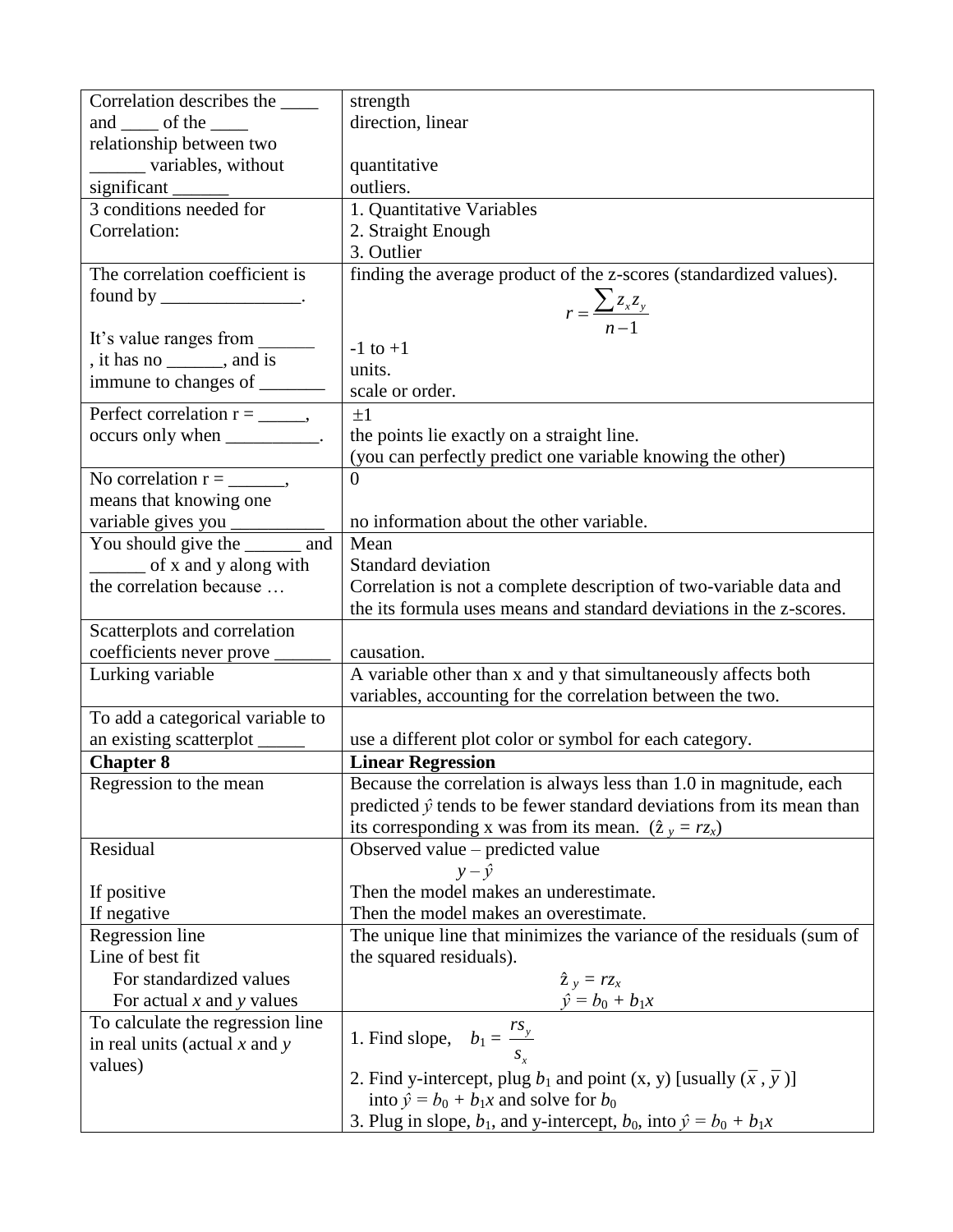| Correlation describes the _____                              | strength                                                                             |
|--------------------------------------------------------------|--------------------------------------------------------------------------------------|
| and of the                                                   | direction, linear                                                                    |
| relationship between two                                     |                                                                                      |
| variables, without                                           | quantitative                                                                         |
| significant<br>3 conditions needed for                       | outliers.                                                                            |
|                                                              | 1. Quantitative Variables                                                            |
| Correlation:                                                 | 2. Straight Enough                                                                   |
|                                                              | 3. Outlier                                                                           |
| The correlation coefficient is                               | finding the average product of the z-scores (standardized values).                   |
| found by $\_\_\_\_\_\_\_\_\_\$ .                             |                                                                                      |
|                                                              | $r = \frac{\sum z_x z_y}{n-1}$                                                       |
| It's value ranges from _                                     | $-1$ to $+1$                                                                         |
| , it has no $\_\_\_\_$ , and is                              | units.                                                                               |
| immune to changes of _______                                 | scale or order.                                                                      |
| Perfect correlation $r =$ _______,                           | $\pm 1$                                                                              |
| occurs only when __________.                                 | the points lie exactly on a straight line.                                           |
|                                                              | (you can perfectly predict one variable knowing the other)                           |
|                                                              | $\overline{0}$                                                                       |
| means that knowing one                                       |                                                                                      |
|                                                              | no information about the other variable.                                             |
| variable gives you _______<br>You should give the ______ and | Mean                                                                                 |
| $\frac{1}{2}$ of x and y along with                          | Standard deviation                                                                   |
| the correlation because                                      | Correlation is not a complete description of two-variable data and                   |
|                                                              | the its formula uses means and standard deviations in the z-scores.                  |
| Scatterplots and correlation                                 |                                                                                      |
| coefficients never prove _                                   | causation.                                                                           |
| Lurking variable                                             | A variable other than x and y that simultaneously affects both                       |
|                                                              | variables, accounting for the correlation between the two.                           |
| To add a categorical variable to                             |                                                                                      |
| an existing scatterplot                                      | use a different plot color or symbol for each category.                              |
| <b>Chapter 8</b>                                             | <b>Linear Regression</b>                                                             |
| Regression to the mean                                       | Because the correlation is always less than 1.0 in magnitude, each                   |
|                                                              | predicted $\hat{y}$ tends to be fewer standard deviations from its mean than         |
|                                                              | its corresponding x was from its mean. $(\hat{z}_y = r z_x)$                         |
| Residual                                                     | Observed value – predicted value                                                     |
|                                                              | $y - \hat{y}$                                                                        |
| If positive                                                  | Then the model makes an underestimate.                                               |
| If negative                                                  | Then the model makes an overestimate.                                                |
| Regression line                                              | The unique line that minimizes the variance of the residuals (sum of                 |
| Line of best fit                                             | the squared residuals).                                                              |
| For standardized values                                      | $\hat{z}_y = r z_x$                                                                  |
| For actual $x$ and $y$ values                                | $\hat{y} = b_0 + b_1 x$                                                              |
| To calculate the regression line                             |                                                                                      |
| in real units (actual $x$ and $y$                            | 1. Find slope, $b_1 = \frac{rs_y}{s_x}$                                              |
| values)                                                      |                                                                                      |
|                                                              | 2. Find y-intercept, plug $b_1$ and point (x, y) [usually ( $\bar{x}$ , $\bar{y}$ )] |
|                                                              | into $\hat{y} = b_0 + b_1 x$ and solve for $b_0$                                     |
|                                                              | 3. Plug in slope, $b_1$ , and y-intercept, $b_0$ , into $\hat{y} = b_0 + b_1x$       |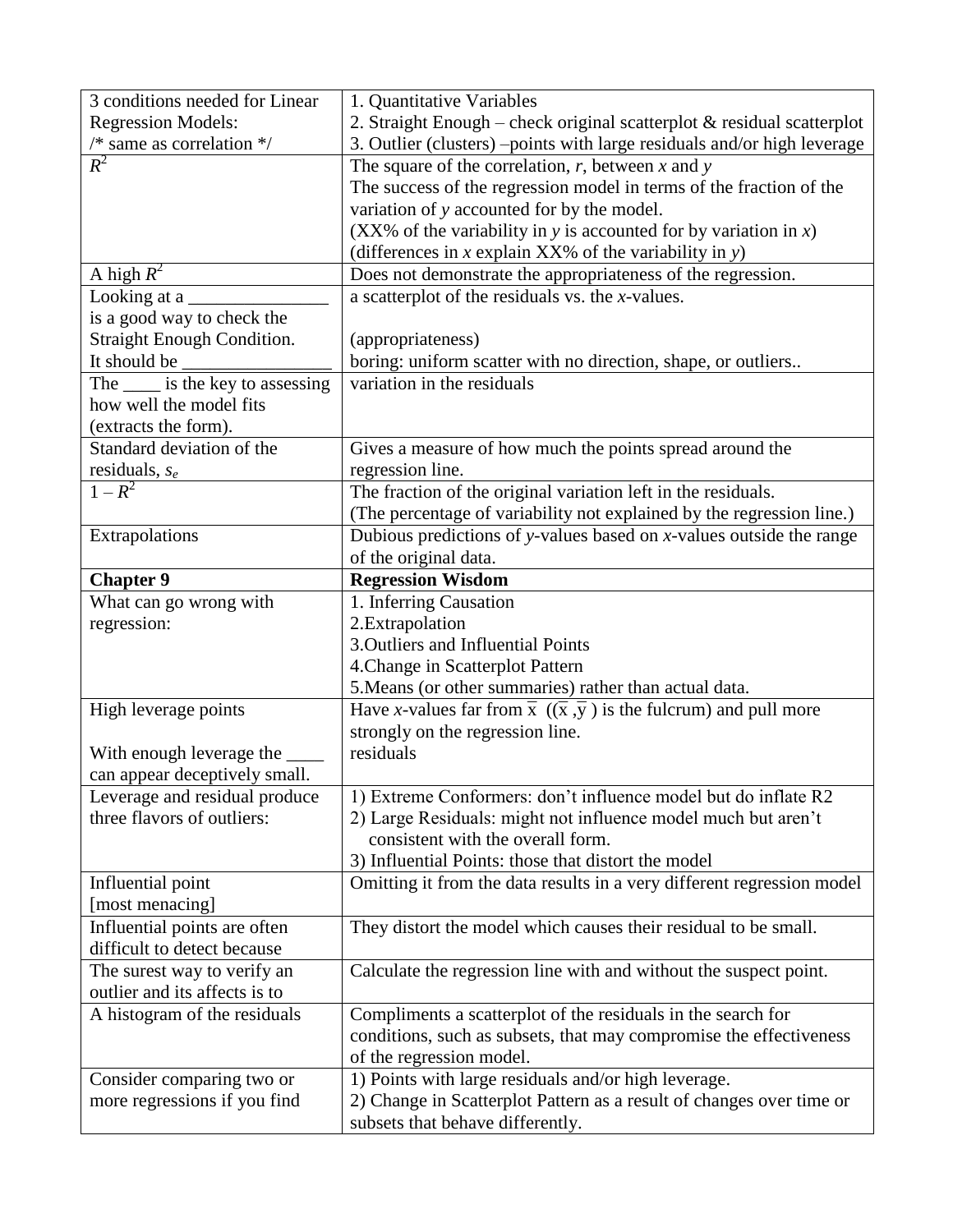| 3 conditions needed for Linear          | 1. Quantitative Variables                                                            |
|-----------------------------------------|--------------------------------------------------------------------------------------|
| <b>Regression Models:</b>               | 2. Straight Enough – check original scatterplot $\&$ residual scatterplot            |
| $/*$ same as correlation $*/$           | 3. Outlier (clusters) -points with large residuals and/or high leverage              |
| $R^2$                                   | The square of the correlation, $r$ , between $x$ and $y$                             |
|                                         | The success of the regression model in terms of the fraction of the                  |
|                                         | variation of y accounted for by the model.                                           |
|                                         | (XX% of the variability in y is accounted for by variation in $x$ )                  |
|                                         | (differences in $x$ explain XX% of the variability in $y$ )                          |
| A high $R^2$                            | Does not demonstrate the appropriateness of the regression.                          |
| Looking at a                            | a scatterplot of the residuals vs. the $x$ -values.                                  |
| is a good way to check the              |                                                                                      |
| <b>Straight Enough Condition.</b>       | (appropriateness)                                                                    |
| It should be                            | boring: uniform scatter with no direction, shape, or outliers                        |
| The <u>same</u> is the key to assessing | variation in the residuals                                                           |
| how well the model fits                 |                                                                                      |
| (extracts the form).                    |                                                                                      |
| Standard deviation of the               | Gives a measure of how much the points spread around the                             |
| residuals, $s_e$                        | regression line.                                                                     |
| $1 - R^2$                               | The fraction of the original variation left in the residuals.                        |
|                                         | (The percentage of variability not explained by the regression line.)                |
| Extrapolations                          | Dubious predictions of y-values based on $x$ -values outside the range               |
|                                         |                                                                                      |
|                                         | of the original data.                                                                |
| <b>Chapter 9</b>                        | <b>Regression Wisdom</b>                                                             |
| What can go wrong with                  | 1. Inferring Causation                                                               |
| regression:                             | 2.Extrapolation                                                                      |
|                                         | 3. Outliers and Influential Points                                                   |
|                                         |                                                                                      |
|                                         | 4. Change in Scatterplot Pattern                                                     |
|                                         | 5. Means (or other summaries) rather than actual data.                               |
| High leverage points                    | Have x-values far from $\bar{x}$ $((\bar{x}, \bar{y})$ is the fulcrum) and pull more |
|                                         | strongly on the regression line.                                                     |
| With enough leverage the                | residuals                                                                            |
| can appear deceptively small.           |                                                                                      |
| Leverage and residual produce           | 1) Extreme Conformers: don't influence model but do inflate R2                       |
| three flavors of outliers:              | 2) Large Residuals: might not influence model much but aren't                        |
|                                         | consistent with the overall form.                                                    |
|                                         | 3) Influential Points: those that distort the model                                  |
| Influential point                       | Omitting it from the data results in a very different regression model               |
| [most menacing]                         |                                                                                      |
| Influential points are often            | They distort the model which causes their residual to be small.                      |
| difficult to detect because             |                                                                                      |
| The surest way to verify an             | Calculate the regression line with and without the suspect point.                    |
| outlier and its affects is to           |                                                                                      |
| A histogram of the residuals            | Compliments a scatterplot of the residuals in the search for                         |
|                                         | conditions, such as subsets, that may compromise the effectiveness                   |
|                                         | of the regression model.                                                             |
| Consider comparing two or               | 1) Points with large residuals and/or high leverage.                                 |
| more regressions if you find            | 2) Change in Scatterplot Pattern as a result of changes over time or                 |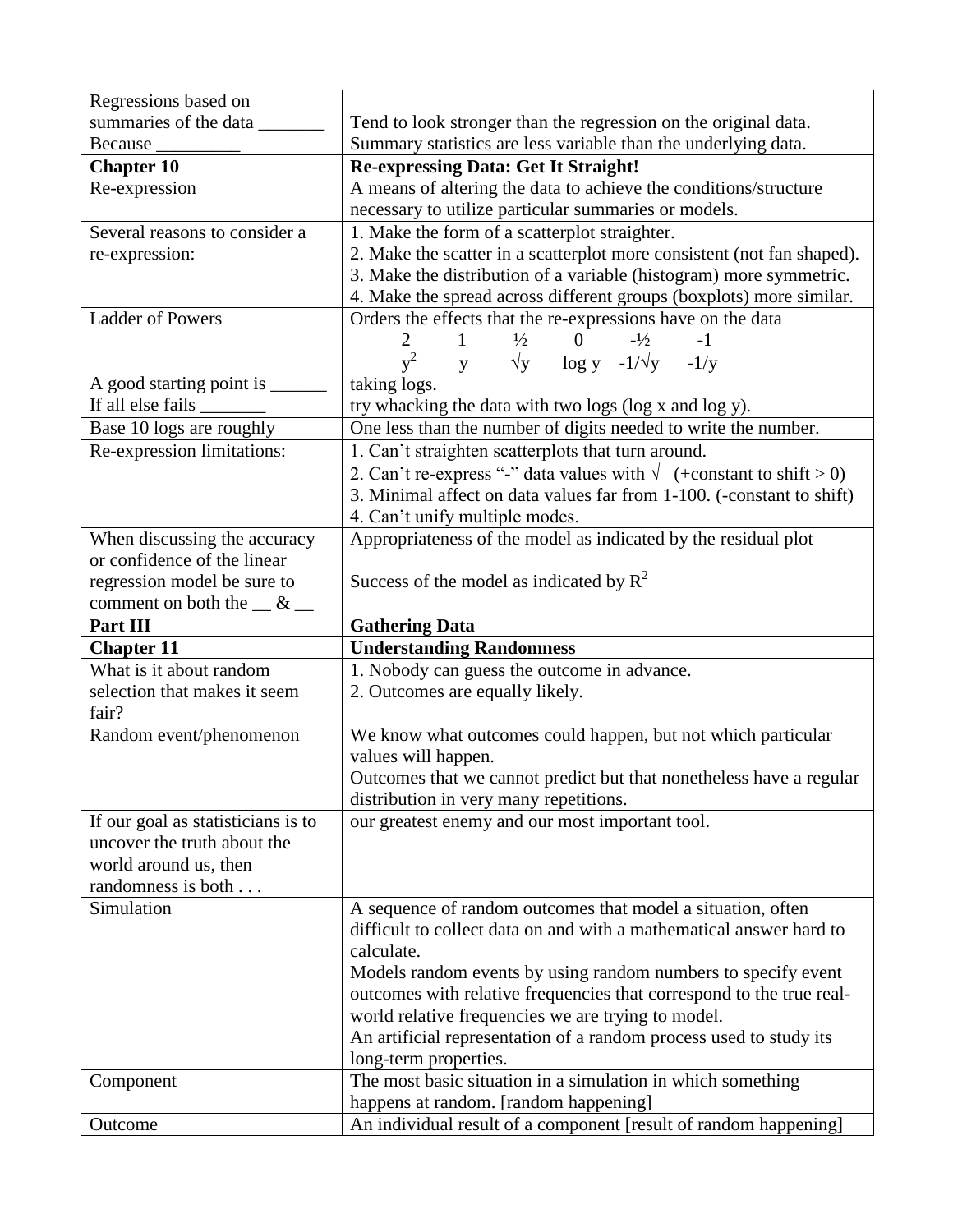| Regressions based on               |                                                                                                           |
|------------------------------------|-----------------------------------------------------------------------------------------------------------|
| summaries of the data              | Tend to look stronger than the regression on the original data.                                           |
| Because                            | Summary statistics are less variable than the underlying data.                                            |
| <b>Chapter 10</b>                  | <b>Re-expressing Data: Get It Straight!</b>                                                               |
| Re-expression                      | A means of altering the data to achieve the conditions/structure                                          |
|                                    | necessary to utilize particular summaries or models.                                                      |
| Several reasons to consider a      | 1. Make the form of a scatterplot straighter.                                                             |
| re-expression:                     | 2. Make the scatter in a scatterplot more consistent (not fan shaped).                                    |
|                                    | 3. Make the distribution of a variable (histogram) more symmetric.                                        |
|                                    | 4. Make the spread across different groups (boxplots) more similar.                                       |
| <b>Ladder of Powers</b>            | Orders the effects that the re-expressions have on the data                                               |
|                                    | 0 $-1/2$<br>$\overline{2}$<br>$1 \quad \blacksquare$<br>$\frac{1}{2}$<br>$-1$                             |
|                                    | $y^2$ y $\sqrt{y}$ log y -1/ $\sqrt{y}$ -1/y                                                              |
| A good starting point is ______    | taking logs.                                                                                              |
|                                    | try whacking the data with two logs (log x and log y).                                                    |
| Base 10 logs are roughly           | One less than the number of digits needed to write the number.                                            |
| Re-expression limitations:         | 1. Can't straighten scatterplots that turn around.                                                        |
|                                    | 2. Can't re-express "-" data values with $\sqrt{\frac{1}{2}}$ (+constant to shift > 0)                    |
|                                    | 3. Minimal affect on data values far from 1-100. (-constant to shift)                                     |
|                                    | 4. Can't unify multiple modes.                                                                            |
| When discussing the accuracy       | Appropriateness of the model as indicated by the residual plot                                            |
| or confidence of the linear        |                                                                                                           |
| regression model be sure to        | Success of the model as indicated by $R^2$                                                                |
| comment on both the $\_\&$ .       |                                                                                                           |
|                                    |                                                                                                           |
| Part III                           | <b>Gathering Data</b>                                                                                     |
| <b>Chapter 11</b>                  | <b>Understanding Randomness</b>                                                                           |
| What is it about random            | 1. Nobody can guess the outcome in advance.                                                               |
| selection that makes it seem       | 2. Outcomes are equally likely.                                                                           |
| fair?                              |                                                                                                           |
| Random event/phenomenon            | We know what outcomes could happen, but not which particular                                              |
|                                    | values will happen.                                                                                       |
|                                    | Outcomes that we cannot predict but that nonetheless have a regular                                       |
|                                    | distribution in very many repetitions.                                                                    |
| If our goal as statisticians is to | our greatest enemy and our most important tool.                                                           |
| uncover the truth about the        |                                                                                                           |
| world around us, then              |                                                                                                           |
| randomness is both                 |                                                                                                           |
| Simulation                         | A sequence of random outcomes that model a situation, often                                               |
|                                    | difficult to collect data on and with a mathematical answer hard to                                       |
|                                    | calculate.                                                                                                |
|                                    | Models random events by using random numbers to specify event                                             |
|                                    | outcomes with relative frequencies that correspond to the true real-                                      |
|                                    | world relative frequencies we are trying to model.                                                        |
|                                    | An artificial representation of a random process used to study its                                        |
|                                    | long-term properties.                                                                                     |
| Component                          | The most basic situation in a simulation in which something                                               |
| Outcome                            | happens at random. [random happening]<br>An individual result of a component [result of random happening] |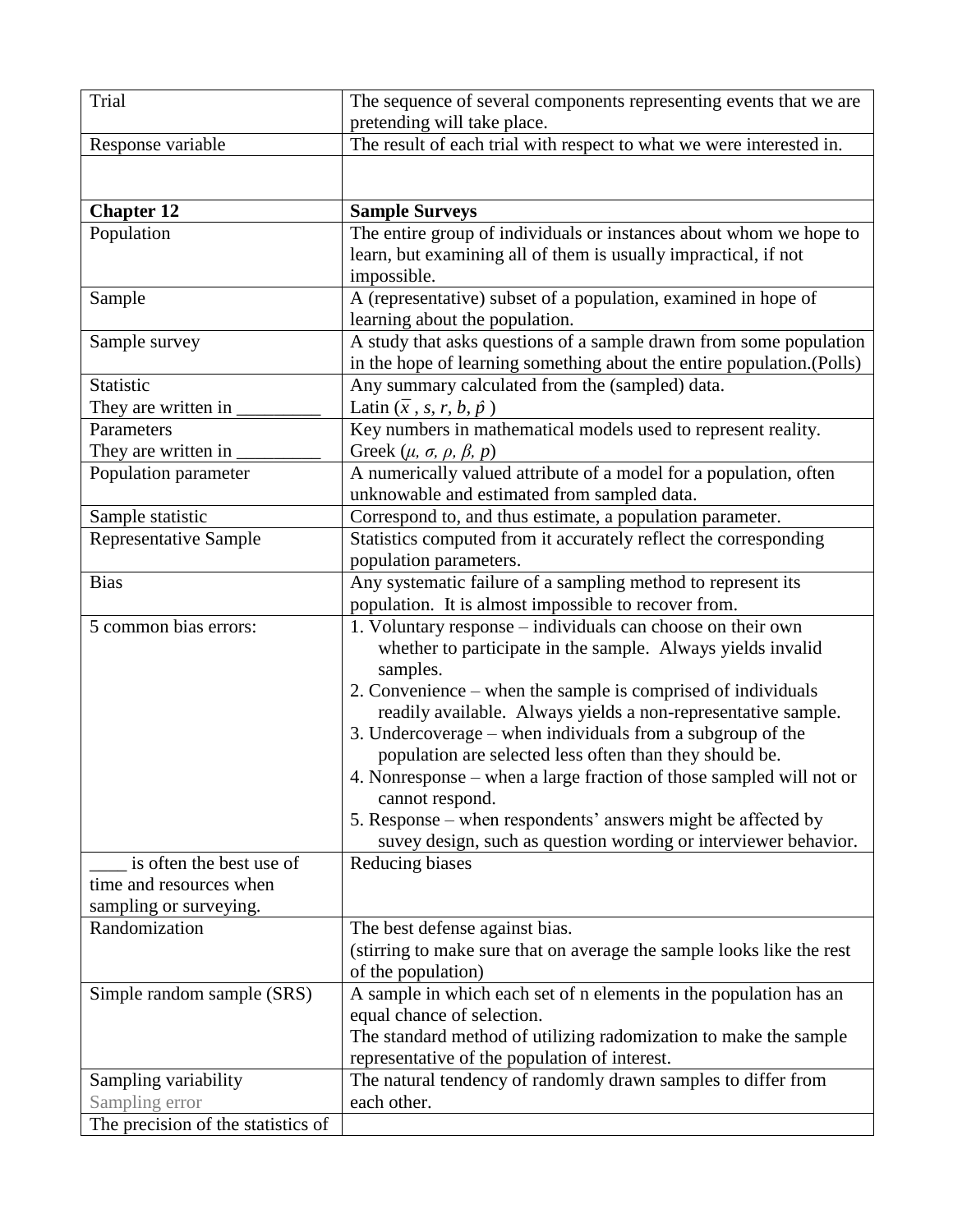| <b>Trial</b>                       | The sequence of several components representing events that we are                                                              |
|------------------------------------|---------------------------------------------------------------------------------------------------------------------------------|
| Response variable                  | pretending will take place.<br>The result of each trial with respect to what we were interested in.                             |
|                                    |                                                                                                                                 |
|                                    |                                                                                                                                 |
| <b>Chapter 12</b>                  | <b>Sample Surveys</b>                                                                                                           |
| Population                         | The entire group of individuals or instances about whom we hope to                                                              |
|                                    | learn, but examining all of them is usually impractical, if not                                                                 |
|                                    | impossible.                                                                                                                     |
| Sample                             | A (representative) subset of a population, examined in hope of                                                                  |
|                                    | learning about the population.                                                                                                  |
| Sample survey                      | A study that asks questions of a sample drawn from some population                                                              |
|                                    | in the hope of learning something about the entire population.(Polls)                                                           |
| Statistic                          | Any summary calculated from the (sampled) data.                                                                                 |
| They are written in                | Latin $(\bar{x}, s, r, b, \hat{p})$                                                                                             |
| Parameters                         | Key numbers in mathematical models used to represent reality.                                                                   |
| They are written in                | Greek $(\mu, \sigma, \rho, \beta, p)$<br>A numerically valued attribute of a model for a population, often                      |
| Population parameter               | unknowable and estimated from sampled data.                                                                                     |
| Sample statistic                   | Correspond to, and thus estimate, a population parameter.                                                                       |
| Representative Sample              | Statistics computed from it accurately reflect the corresponding                                                                |
|                                    | population parameters.                                                                                                          |
| <b>Bias</b>                        | Any systematic failure of a sampling method to represent its                                                                    |
|                                    | population. It is almost impossible to recover from.                                                                            |
| 5 common bias errors:              | 1. Voluntary response – individuals can choose on their own                                                                     |
|                                    | whether to participate in the sample. Always yields invalid                                                                     |
|                                    | samples.                                                                                                                        |
|                                    | 2. Convenience – when the sample is comprised of individuals                                                                    |
|                                    | readily available. Always yields a non-representative sample.                                                                   |
|                                    | 3. Undercoverage – when individuals from a subgroup of the                                                                      |
|                                    | population are selected less often than they should be.                                                                         |
|                                    | 4. Nonresponse – when a large fraction of those sampled will not or                                                             |
|                                    | cannot respond.                                                                                                                 |
|                                    | 5. Response – when respondents' answers might be affected by<br>suvey design, such as question wording or interviewer behavior. |
| is often the best use of           | Reducing biases                                                                                                                 |
| time and resources when            |                                                                                                                                 |
| sampling or surveying.             |                                                                                                                                 |
| Randomization                      | The best defense against bias.                                                                                                  |
|                                    | (stirring to make sure that on average the sample looks like the rest                                                           |
|                                    | of the population)                                                                                                              |
| Simple random sample (SRS)         | A sample in which each set of n elements in the population has an                                                               |
|                                    | equal chance of selection.                                                                                                      |
|                                    | The standard method of utilizing radomization to make the sample                                                                |
|                                    | representative of the population of interest.                                                                                   |
| Sampling variability               | The natural tendency of randomly drawn samples to differ from                                                                   |
| Sampling error                     | each other.                                                                                                                     |
| The precision of the statistics of |                                                                                                                                 |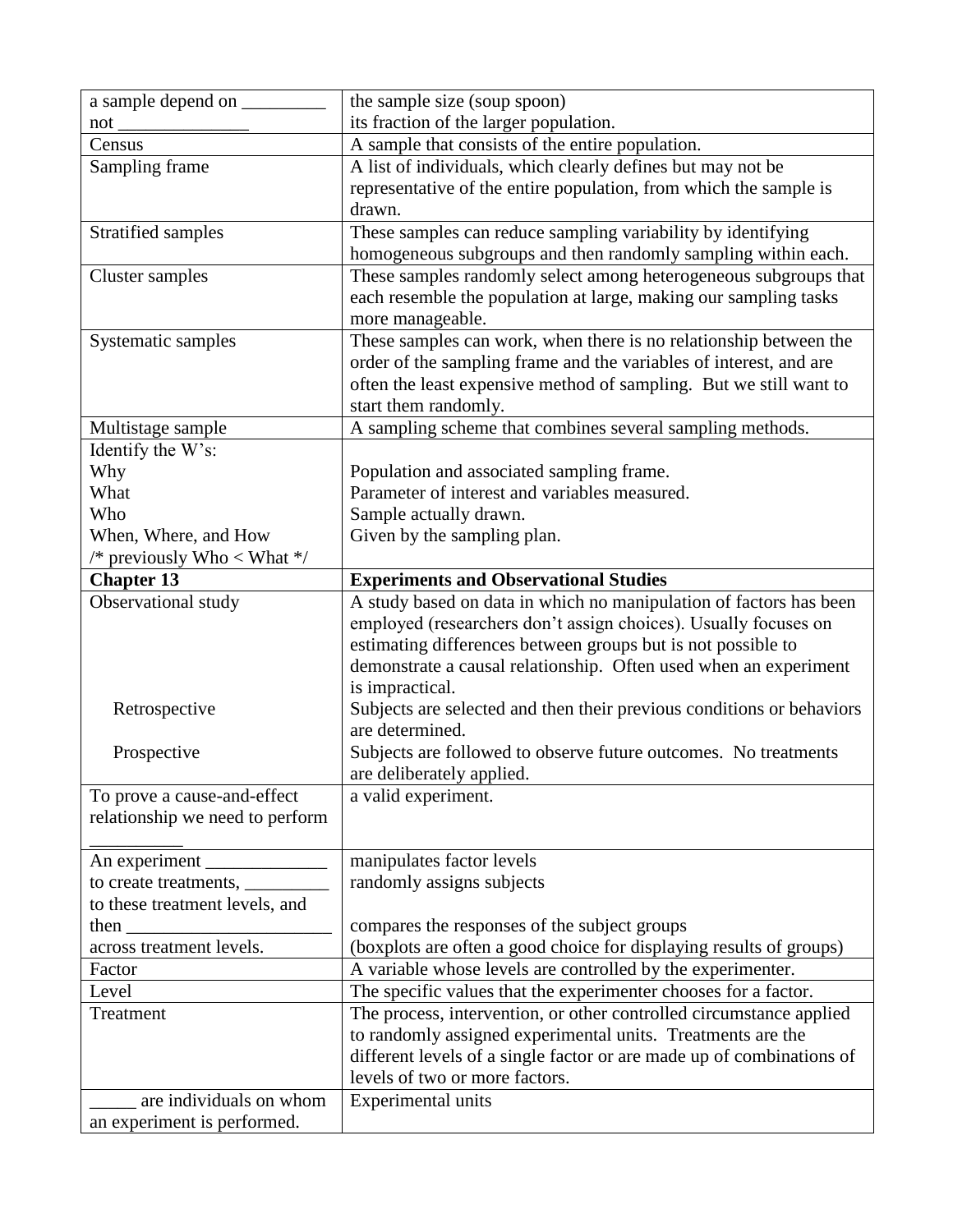| a sample depend on _            | the sample size (soup spoon)                                                             |
|---------------------------------|------------------------------------------------------------------------------------------|
| $not_$                          | its fraction of the larger population.                                                   |
| Census                          | A sample that consists of the entire population.                                         |
| Sampling frame                  | A list of individuals, which clearly defines but may not be                              |
|                                 | representative of the entire population, from which the sample is                        |
|                                 | drawn.                                                                                   |
| Stratified samples              | These samples can reduce sampling variability by identifying                             |
|                                 | homogeneous subgroups and then randomly sampling within each.                            |
| <b>Cluster</b> samples          | These samples randomly select among heterogeneous subgroups that                         |
|                                 | each resemble the population at large, making our sampling tasks                         |
|                                 | more manageable.                                                                         |
| Systematic samples              | These samples can work, when there is no relationship between the                        |
|                                 | order of the sampling frame and the variables of interest, and are                       |
|                                 | often the least expensive method of sampling. But we still want to                       |
|                                 | start them randomly.                                                                     |
| Multistage sample               | A sampling scheme that combines several sampling methods.                                |
| Identify the W's:               |                                                                                          |
| Why                             | Population and associated sampling frame.                                                |
| What                            | Parameter of interest and variables measured.                                            |
| Who                             | Sample actually drawn.                                                                   |
| When, Where, and How            | Given by the sampling plan.                                                              |
| /* previously Who < What $*/$   |                                                                                          |
| <b>Chapter 13</b>               | <b>Experiments and Observational Studies</b>                                             |
| Observational study             | A study based on data in which no manipulation of factors has been                       |
|                                 | employed (researchers don't assign choices). Usually focuses on                          |
|                                 | estimating differences between groups but is not possible to                             |
|                                 | demonstrate a causal relationship. Often used when an experiment                         |
|                                 | is impractical.                                                                          |
| Retrospective                   | Subjects are selected and then their previous conditions or behaviors<br>are determined. |
| Prospective                     | Subjects are followed to observe future outcomes. No treatments                          |
|                                 | are deliberately applied.                                                                |
| To prove a cause-and-effect     | a valid experiment.                                                                      |
| relationship we need to perform |                                                                                          |
|                                 |                                                                                          |
|                                 | manipulates factor levels                                                                |
|                                 | randomly assigns subjects                                                                |
| to these treatment levels, and  |                                                                                          |
| then $\qquad$                   | compares the responses of the subject groups                                             |
| across treatment levels.        | (boxplots are often a good choice for displaying results of groups)                      |
| Factor                          | A variable whose levels are controlled by the experimenter.                              |
| Level                           | The specific values that the experimenter chooses for a factor.                          |
| Treatment                       | The process, intervention, or other controlled circumstance applied                      |
|                                 | to randomly assigned experimental units. Treatments are the                              |
|                                 | different levels of a single factor or are made up of combinations of                    |
|                                 | levels of two or more factors.                                                           |
| are individuals on whom         |                                                                                          |
|                                 | <b>Experimental units</b>                                                                |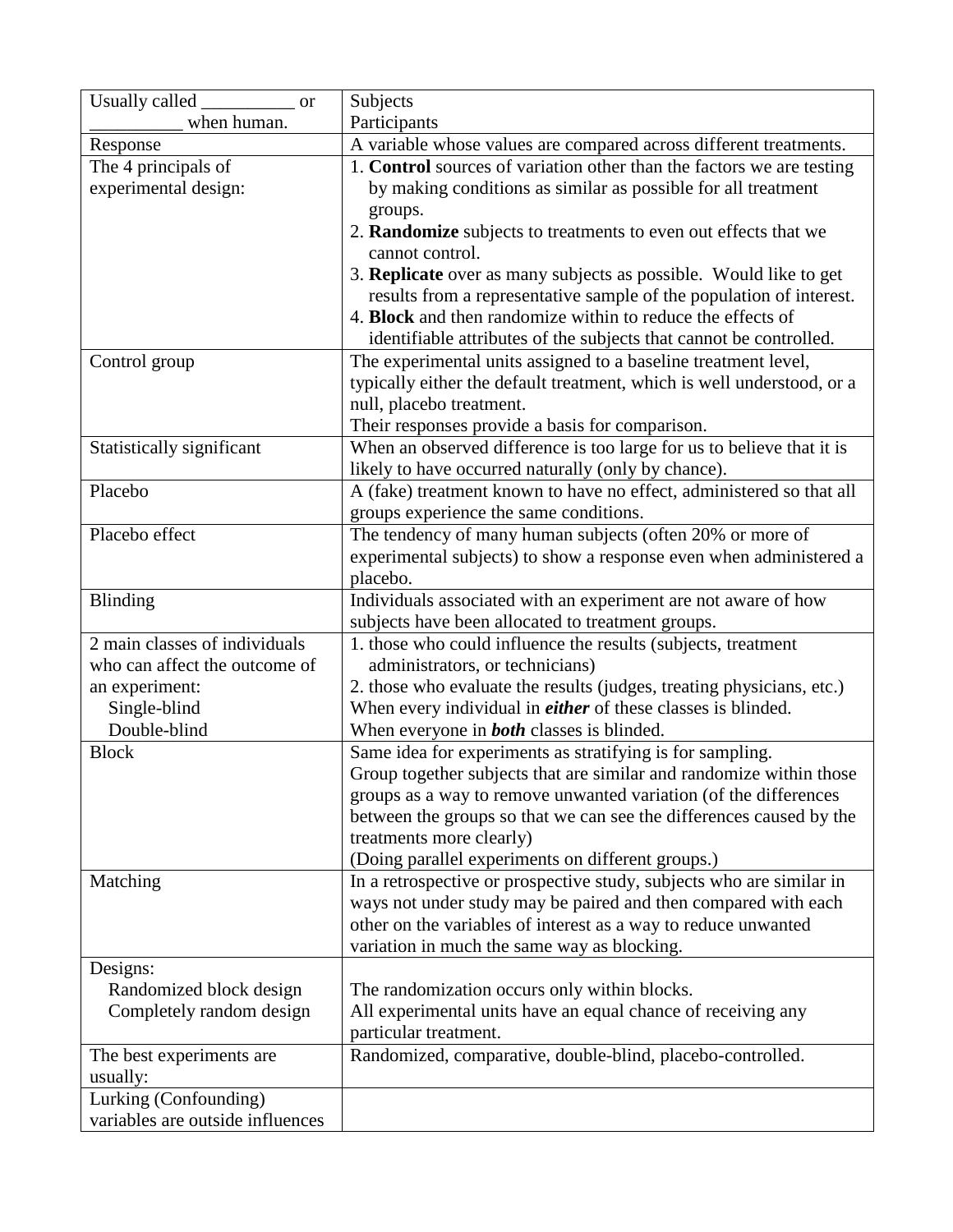| Usually called<br>$\overline{\phantom{a}}$ or | Subjects                                                                 |
|-----------------------------------------------|--------------------------------------------------------------------------|
| when human.                                   | Participants                                                             |
| Response                                      | A variable whose values are compared across different treatments.        |
| The 4 principals of                           | 1. Control sources of variation other than the factors we are testing    |
| experimental design:                          | by making conditions as similar as possible for all treatment            |
|                                               | groups.                                                                  |
|                                               | 2. Randomize subjects to treatments to even out effects that we          |
|                                               | cannot control.                                                          |
|                                               | 3. <b>Replicate</b> over as many subjects as possible. Would like to get |
|                                               | results from a representative sample of the population of interest.      |
|                                               | 4. Block and then randomize within to reduce the effects of              |
|                                               | identifiable attributes of the subjects that cannot be controlled.       |
| Control group                                 | The experimental units assigned to a baseline treatment level,           |
|                                               | typically either the default treatment, which is well understood, or a   |
|                                               | null, placebo treatment.                                                 |
|                                               | Their responses provide a basis for comparison.                          |
| Statistically significant                     | When an observed difference is too large for us to believe that it is    |
|                                               | likely to have occurred naturally (only by chance).                      |
| Placebo                                       | A (fake) treatment known to have no effect, administered so that all     |
|                                               | groups experience the same conditions.                                   |
| Placebo effect                                | The tendency of many human subjects (often 20% or more of                |
|                                               | experimental subjects) to show a response even when administered a       |
|                                               | placebo.                                                                 |
| <b>Blinding</b>                               | Individuals associated with an experiment are not aware of how           |
|                                               | subjects have been allocated to treatment groups.                        |
| 2 main classes of individuals                 | 1. those who could influence the results (subjects, treatment            |
| who can affect the outcome of                 | administrators, or technicians)                                          |
| an experiment:                                | 2. those who evaluate the results (judges, treating physicians, etc.)    |
| Single-blind                                  | When every individual in <i>either</i> of these classes is blinded.      |
| Double-blind                                  | When everyone in <b>both</b> classes is blinded.                         |
| <b>Block</b>                                  | Same idea for experiments as stratifying is for sampling.                |
|                                               | Group together subjects that are similar and randomize within those      |
|                                               | groups as a way to remove unwanted variation (of the differences         |
|                                               | between the groups so that we can see the differences caused by the      |
|                                               | treatments more clearly)                                                 |
|                                               | (Doing parallel experiments on different groups.)                        |
| Matching                                      | In a retrospective or prospective study, subjects who are similar in     |
|                                               | ways not under study may be paired and then compared with each           |
|                                               | other on the variables of interest as a way to reduce unwanted           |
|                                               | variation in much the same way as blocking.                              |
| Designs:                                      |                                                                          |
| Randomized block design                       | The randomization occurs only within blocks.                             |
| Completely random design                      | All experimental units have an equal chance of receiving any             |
|                                               | particular treatment.                                                    |
| The best experiments are.<br>usually:         | Randomized, comparative, double-blind, placebo-controlled.               |
|                                               |                                                                          |
| Lurking (Confounding)                         |                                                                          |
| variables are outside influences              |                                                                          |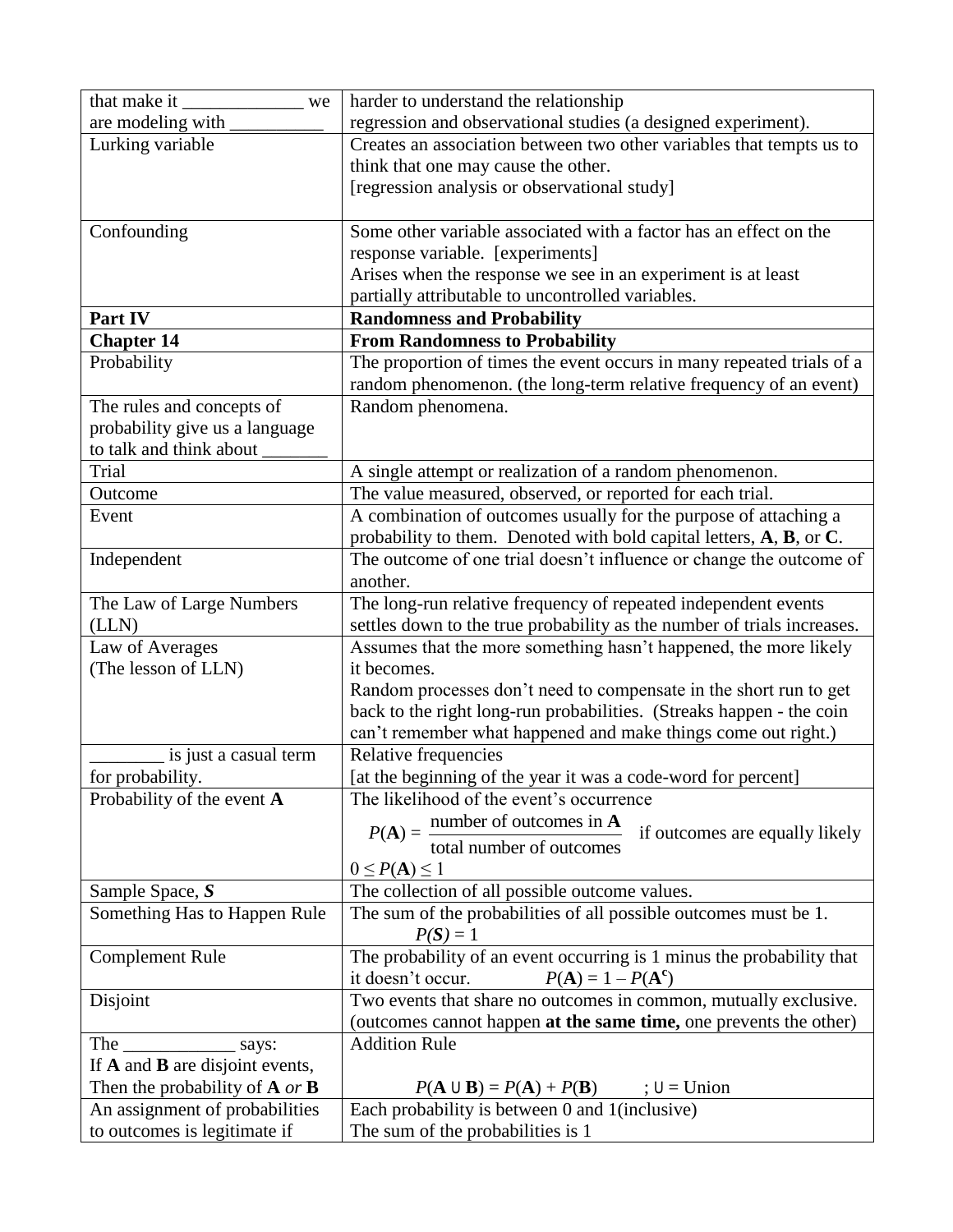| that make it<br>we                                        | harder to understand the relationship                                                                              |
|-----------------------------------------------------------|--------------------------------------------------------------------------------------------------------------------|
| are modeling with                                         | regression and observational studies (a designed experiment).                                                      |
| Lurking variable                                          | Creates an association between two other variables that tempts us to                                               |
|                                                           | think that one may cause the other.                                                                                |
|                                                           | [regression analysis or observational study]                                                                       |
|                                                           |                                                                                                                    |
| Confounding                                               | Some other variable associated with a factor has an effect on the                                                  |
|                                                           | response variable. [experiments]                                                                                   |
|                                                           | Arises when the response we see in an experiment is at least                                                       |
|                                                           | partially attributable to uncontrolled variables.                                                                  |
| Part IV                                                   | <b>Randomness and Probability</b>                                                                                  |
| <b>Chapter 14</b>                                         | <b>From Randomness to Probability</b>                                                                              |
| Probability                                               | The proportion of times the event occurs in many repeated trials of a                                              |
|                                                           | random phenomenon. (the long-term relative frequency of an event)                                                  |
| The rules and concepts of                                 | Random phenomena.                                                                                                  |
| probability give us a language<br>to talk and think about |                                                                                                                    |
| Trial                                                     | A single attempt or realization of a random phenomenon.                                                            |
| Outcome                                                   | The value measured, observed, or reported for each trial.                                                          |
| Event                                                     | A combination of outcomes usually for the purpose of attaching a                                                   |
|                                                           | probability to them. Denoted with bold capital letters, $A$ , $B$ , or $C$ .                                       |
| Independent                                               | The outcome of one trial doesn't influence or change the outcome of                                                |
|                                                           | another.                                                                                                           |
| The Law of Large Numbers                                  | The long-run relative frequency of repeated independent events                                                     |
| (LLN)                                                     | settles down to the true probability as the number of trials increases.                                            |
| Law of Averages                                           | Assumes that the more something hasn't happened, the more likely                                                   |
| (The lesson of LLN)                                       | it becomes.                                                                                                        |
|                                                           | Random processes don't need to compensate in the short run to get                                                  |
|                                                           | back to the right long-run probabilities. (Streaks happen - the coin                                               |
|                                                           | can't remember what happened and make things come out right.)                                                      |
| is just a casual term                                     | Relative frequencies                                                                                               |
| for probability.                                          | [at the beginning of the year it was a code-word for percent]                                                      |
| Probability of the event A                                | The likelihood of the event's occurrence                                                                           |
|                                                           | $P(A) = \frac{\text{number of outcomes in } A}{\text{total number of outcomes}}$<br>if outcomes are equally likely |
|                                                           |                                                                                                                    |
|                                                           | $0 \leq P(A) \leq 1$                                                                                               |
| Sample Space, S                                           | The collection of all possible outcome values.                                                                     |
| Something Has to Happen Rule                              | The sum of the probabilities of all possible outcomes must be 1.                                                   |
|                                                           | $P(S) = 1$                                                                                                         |
| <b>Complement Rule</b>                                    | The probability of an event occurring is 1 minus the probability that                                              |
|                                                           | $P(A) = 1 - P(A^c)$<br>it doesn't occur.                                                                           |
| Disjoint                                                  | Two events that share no outcomes in common, mutually exclusive.                                                   |
|                                                           | (outcomes cannot happen at the same time, one prevents the other)                                                  |
| The says:                                                 | <b>Addition Rule</b>                                                                                               |
| If A and B are disjoint events,                           |                                                                                                                    |
| Then the probability of $A$ or $B$                        | $P(A \cup B) = P(A) + P(B)$<br>$; U = Union$                                                                       |
| An assignment of probabilities                            | Each probability is between 0 and 1(inclusive)                                                                     |
| to outcomes is legitimate if                              | The sum of the probabilities is 1                                                                                  |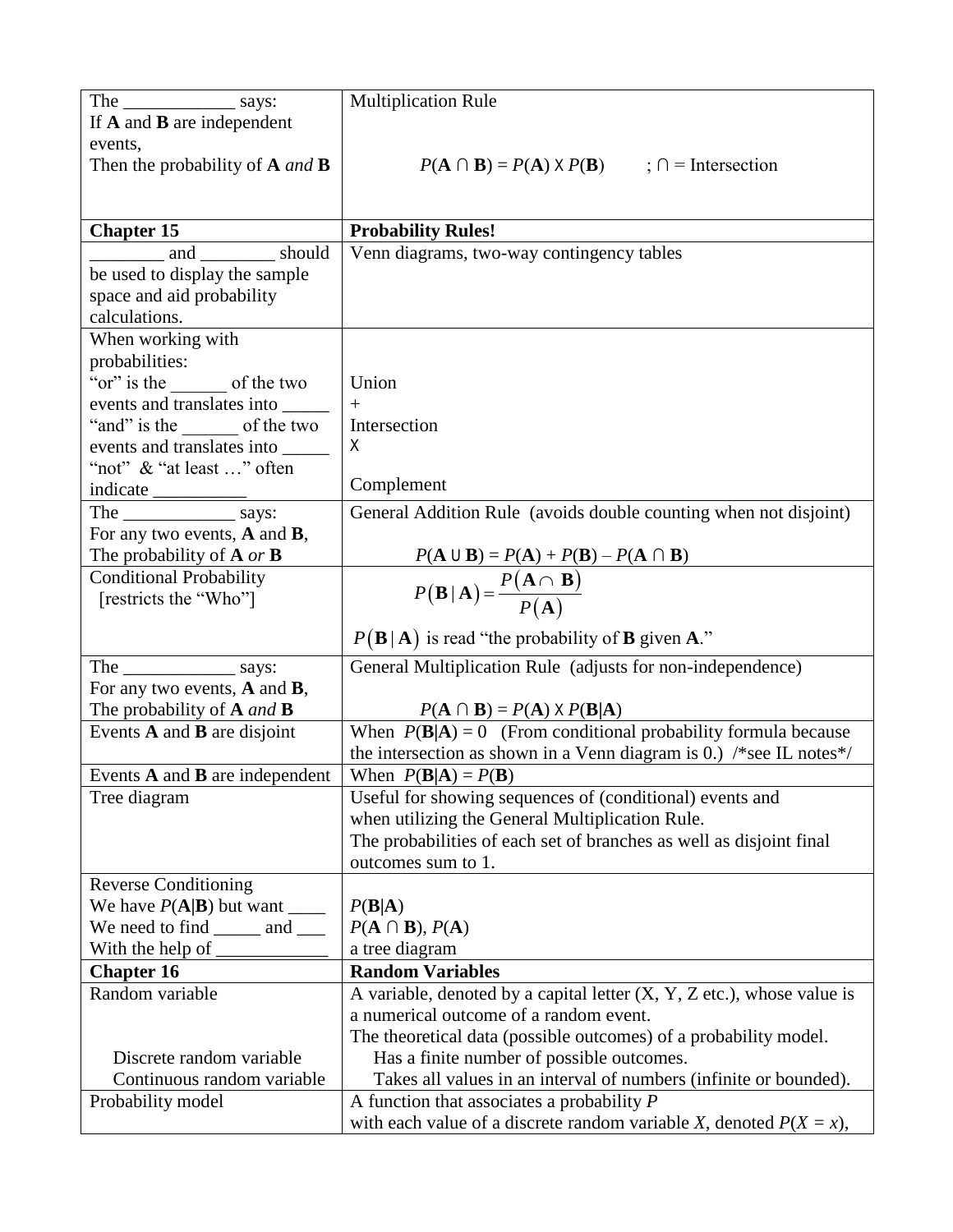|                                     | <b>Multiplication Rule</b>                                                                                            |
|-------------------------------------|-----------------------------------------------------------------------------------------------------------------------|
| If $A$ and $B$ are independent      |                                                                                                                       |
| events,                             |                                                                                                                       |
| Then the probability of $A$ and $B$ | $P(A \cap B) = P(A) \times P(B)$ ; $\cap$ = Intersection                                                              |
|                                     |                                                                                                                       |
|                                     |                                                                                                                       |
| <b>Chapter 15</b>                   | <b>Probability Rules!</b>                                                                                             |
| and __________ should               | Venn diagrams, two-way contingency tables                                                                             |
| be used to display the sample       |                                                                                                                       |
| space and aid probability           |                                                                                                                       |
| calculations.                       |                                                                                                                       |
| When working with                   |                                                                                                                       |
| probabilities:                      |                                                                                                                       |
| "or" is the of the two              | Union                                                                                                                 |
| events and translates into          | $+$                                                                                                                   |
| "and" is the _______ of the two     | Intersection                                                                                                          |
| events and translates into          | X                                                                                                                     |
| "not" & "at least " often           |                                                                                                                       |
|                                     | Complement                                                                                                            |
|                                     | General Addition Rule (avoids double counting when not disjoint)                                                      |
| For any two events, $A$ and $B$ ,   |                                                                                                                       |
| The probability of $A$ or $B$       |                                                                                                                       |
| <b>Conditional Probability</b>      | $\frac{P(A \cup B) = P(A) + P(B) - P(A \cap B)}{P(B \mid A) = \frac{P(A \cap B)}{P(A)}}$                              |
| [restricts the "Who"]               |                                                                                                                       |
|                                     |                                                                                                                       |
|                                     | $P(\mathbf{B}   \mathbf{A})$ is read "the probability of <b>B</b> given <b>A</b> ."                                   |
| The says:                           | General Multiplication Rule (adjusts for non-independence)                                                            |
| For any two events, $A$ and $B$ ,   |                                                                                                                       |
| The probability of $A$ and $B$      | $P(A \cap B) = P(A) \times P(B A)$                                                                                    |
| Events $A$ and $B$ are disjoint     | When $P(B A) = 0$ (From conditional probability formula because                                                       |
|                                     | the intersection as shown in a Venn diagram is 0.) /*see IL notes*/                                                   |
| Events A and B are independent      | When $P(B A) = P(B)$                                                                                                  |
| Tree diagram                        | Useful for showing sequences of (conditional) events and                                                              |
|                                     | when utilizing the General Multiplication Rule.                                                                       |
|                                     | The probabilities of each set of branches as well as disjoint final                                                   |
|                                     | outcomes sum to 1.                                                                                                    |
| <b>Reverse Conditioning</b>         |                                                                                                                       |
| We have $P(A B)$ but want ______    | P(B A)                                                                                                                |
| We need to find ______ and ____     | $P(A \cap B), P(A)$                                                                                                   |
|                                     | a tree diagram                                                                                                        |
| <b>Chapter 16</b>                   | <b>Random Variables</b>                                                                                               |
| Random variable                     | A variable, denoted by a capital letter $(X, Y, Z$ etc.), whose value is                                              |
|                                     | a numerical outcome of a random event.                                                                                |
|                                     | The theoretical data (possible outcomes) of a probability model.                                                      |
|                                     |                                                                                                                       |
| Discrete random variable            | Has a finite number of possible outcomes.                                                                             |
| Continuous random variable          | Takes all values in an interval of numbers (infinite or bounded).                                                     |
| Probability model                   | A function that associates a probability $P$<br>with each value of a discrete random variable X, denoted $P(X = x)$ , |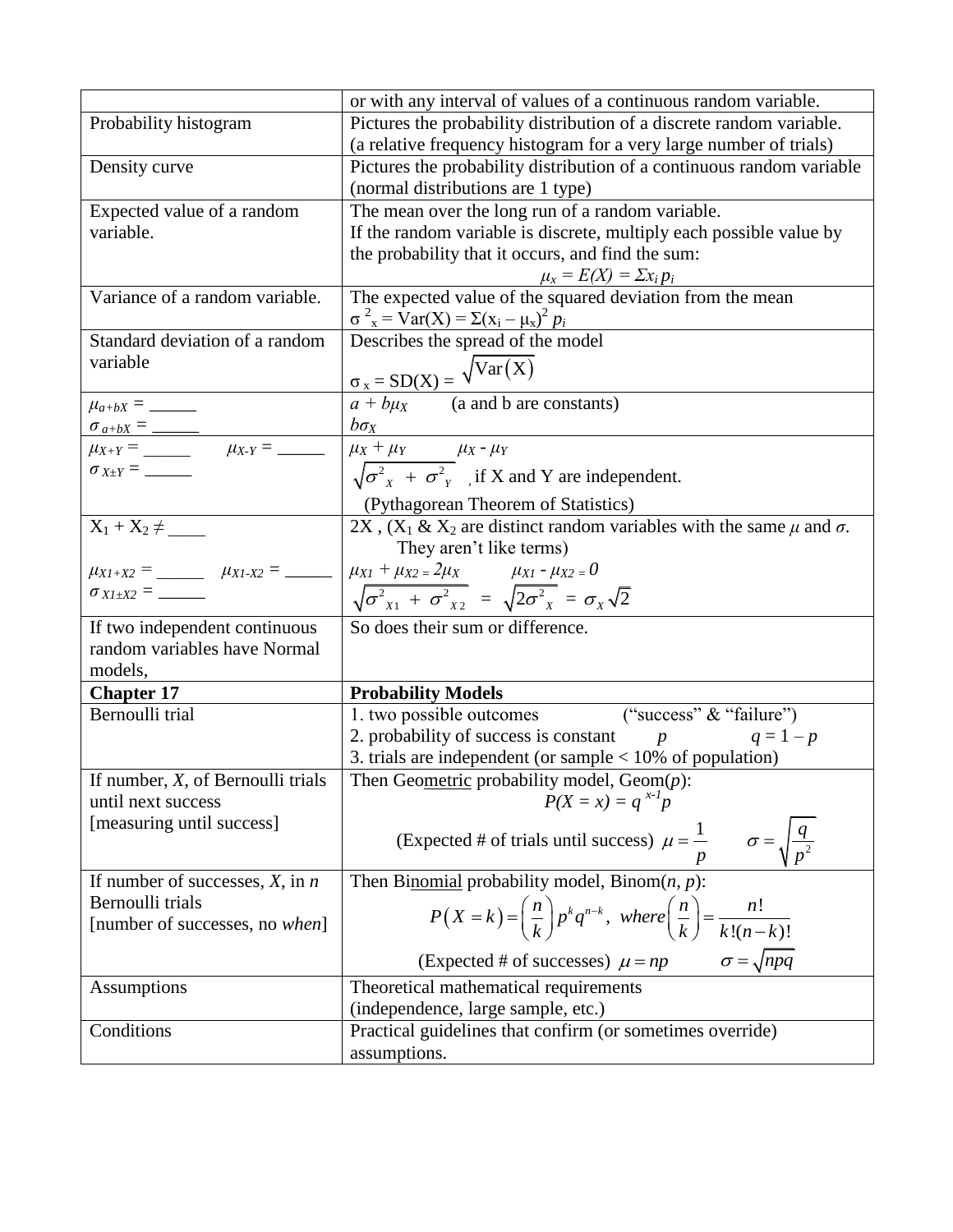|                                                               | or with any interval of values of a continuous random variable.                                           |
|---------------------------------------------------------------|-----------------------------------------------------------------------------------------------------------|
| Probability histogram                                         | Pictures the probability distribution of a discrete random variable.                                      |
|                                                               | (a relative frequency histogram for a very large number of trials)                                        |
| Density curve                                                 | Pictures the probability distribution of a continuous random variable                                     |
|                                                               | (normal distributions are 1 type)                                                                         |
| Expected value of a random                                    | The mean over the long run of a random variable.                                                          |
| variable.                                                     | If the random variable is discrete, multiply each possible value by                                       |
|                                                               | the probability that it occurs, and find the sum:                                                         |
|                                                               | $\mu_x = E(X) = \sum x_i p_i$                                                                             |
| Variance of a random variable.                                | The expected value of the squared deviation from the mean                                                 |
|                                                               | $\sigma^{2}_{x}$ = Var(X) = $\Sigma(x_i - \mu_x)^2 p_i$                                                   |
| Standard deviation of a random                                | Describes the spread of the model                                                                         |
| variable                                                      |                                                                                                           |
|                                                               | $\frac{\sigma_x = SD(X)}{a + b\mu_X} = \frac{\sqrt{Var(X)}}{(a \text{ and } b \text{ are constants)}}$    |
|                                                               |                                                                                                           |
|                                                               | $b\sigma_X$                                                                                               |
| $\mu_{X+Y} =$ $\mu_{X-Y} =$ $\ldots$                          | $\mu_X + \mu_Y$ $\mu_X - \mu_Y$                                                                           |
|                                                               | $\sqrt{\sigma_{x}^{2} + \sigma_{y}^{2}}$ , if X and Y are independent.                                    |
|                                                               | (Pythagorean Theorem of Statistics)                                                                       |
| $X_1 + X_2 \neq$                                              | 2X, $(X_1 \& X_2)$ are distinct random variables with the same $\mu$ and $\sigma$ .                       |
|                                                               | They aren't like terms)                                                                                   |
| $\mu_{X1+X2} =$ $\mu_{X1-X2} =$ $\ldots$                      | $\mu_{X1} + \mu_{X2} = 2\mu_X$ $\mu_{X1} - \mu_{X2} = 0$                                                  |
|                                                               | $\sqrt{\sigma_{x1}^2 + \sigma_{x2}^2} = \sqrt{2\sigma_{x1}^2} = \sigma_x\sqrt{2}$                         |
|                                                               |                                                                                                           |
| If two independent continuous<br>random variables have Normal | So does their sum or difference.                                                                          |
| models,                                                       |                                                                                                           |
| <b>Chapter 17</b>                                             | <b>Probability Models</b>                                                                                 |
| Bernoulli trial                                               | 1. two possible outcomes ("success" & "failure")                                                          |
|                                                               | 2. probability of success is constant $p$<br>$q = 1 - p$                                                  |
|                                                               | 3. trials are independent (or sample $<$ 10% of population)                                               |
| If number, $X$ , of Bernoulli trials                          | Then Geometric probability model, $Geom(p)$ :                                                             |
| until next success                                            | $P(X = x) = q^{x-1}p$                                                                                     |
| [measuring until success]                                     |                                                                                                           |
|                                                               | (Expected # of trials until success) $\mu = \frac{1}{p}$ $\sigma = \sqrt{\frac{q}{p^2}}$                  |
|                                                               |                                                                                                           |
| If number of successes, $X$ , in $n$                          | Then Binomial probability model, Binom $(n, p)$ :                                                         |
| Bernoulli trials                                              | $P(X = k) = \left(\frac{n}{k}\right)p^k q^{n-k}$ , where $\left(\frac{n}{k}\right) = \frac{n!}{k!(n-k)!}$ |
| [number of successes, no when]                                |                                                                                                           |
|                                                               | (Expected # of successes) $\mu = np$ $\sigma = \sqrt{npq}$                                                |
| <b>Assumptions</b>                                            | Theoretical mathematical requirements                                                                     |
|                                                               | (independence, large sample, etc.)                                                                        |
| Conditions                                                    | Practical guidelines that confirm (or sometimes override)                                                 |
|                                                               | assumptions.                                                                                              |